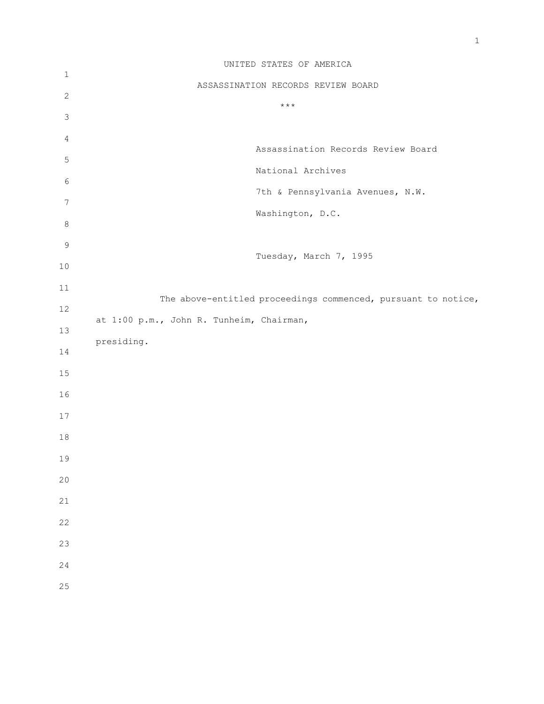|              | UNITED STATES OF AMERICA                                      |
|--------------|---------------------------------------------------------------|
| $\mathbf{1}$ | ASSASSINATION RECORDS REVIEW BOARD                            |
| $\mathbf{2}$ |                                                               |
| $\mathsf 3$  | $\star\star\star$                                             |
| 4            |                                                               |
| 5            | Assassination Records Review Board                            |
| 6            | National Archives                                             |
| 7            | 7th & Pennsylvania Avenues, N.W.                              |
|              | Washington, D.C.                                              |
| $\,8\,$      |                                                               |
| $\mathsf 9$  | Tuesday, March 7, 1995                                        |
| $10$         |                                                               |
| 11           | The above-entitled proceedings commenced, pursuant to notice, |
| 12           | at 1:00 p.m., John R. Tunheim, Chairman,                      |
| 13           | presiding.                                                    |
| 14           |                                                               |
| 15           |                                                               |
| 16           |                                                               |
| $17$         |                                                               |
| $18\,$       |                                                               |
| 19           |                                                               |
| 20           |                                                               |
|              |                                                               |
| 21           |                                                               |
| 22           |                                                               |
| 23           |                                                               |
| 24           |                                                               |
| 25           |                                                               |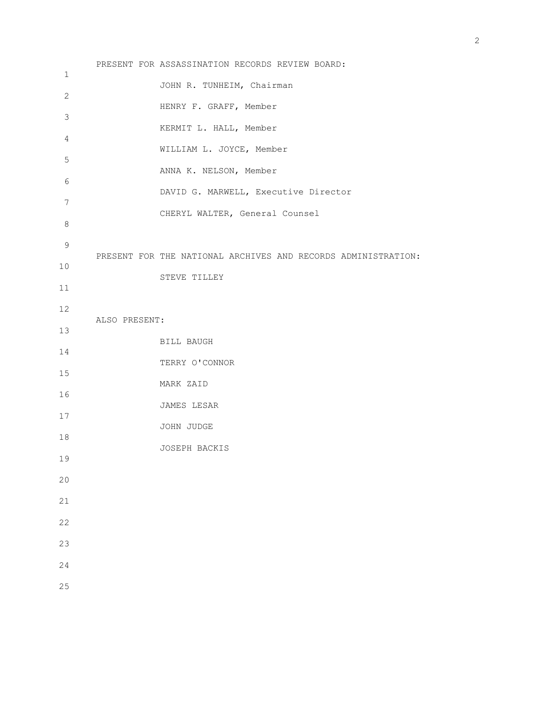PRESENT FOR ASSASSINATION RECORDS REVIEW BOARD: JOHN R. TUNHEIM, Chairman HENRY F. GRAFF, Member KERMIT L. HALL, Member WILLIAM L. JOYCE, Member ANNA K. NELSON, Member DAVID G. MARWELL, Executive Director CHERYL WALTER, General Counsel PRESENT FOR THE NATIONAL ARCHIVES AND RECORDS ADMINISTRATION: STEVE TILLEY ALSO PRESENT: BILL BAUGH TERRY O'CONNOR MARK ZAID JAMES LESAR JOHN JUDGE JOSEPH BACKIS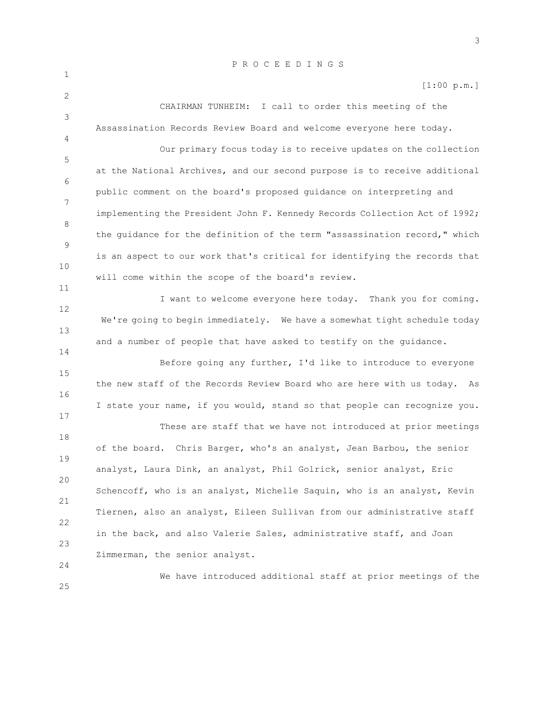[1:00 p.m.]

CHAIRMAN TUNHEIM: I call to order this meeting of the Assassination Records Review Board and welcome everyone here today.

1

2

3

4

11

14

24

25

5 6 7 8 9 10 Our primary focus today is to receive updates on the collection at the National Archives, and our second purpose is to receive additional public comment on the board's proposed guidance on interpreting and implementing the President John F. Kennedy Records Collection Act of 1992; the guidance for the definition of the term "assassination record," which is an aspect to our work that's critical for identifying the records that will come within the scope of the board's review.

12 13 I want to welcome everyone here today. Thank you for coming. We're going to begin immediately. We have a somewhat tight schedule today and a number of people that have asked to testify on the guidance.

15 16 17 Before going any further, I'd like to introduce to everyone the new staff of the Records Review Board who are here with us today. As I state your name, if you would, stand so that people can recognize you.

18 19 20 21 22 23 These are staff that we have not introduced at prior meetings of the board. Chris Barger, who's an analyst, Jean Barbou, the senior analyst, Laura Dink, an analyst, Phil Golrick, senior analyst, Eric Schencoff, who is an analyst, Michelle Saquin, who is an analyst, Kevin Tiernen, also an analyst, Eileen Sullivan from our administrative staff in the back, and also Valerie Sales, administrative staff, and Joan Zimmerman, the senior analyst.

We have introduced additional staff at prior meetings of the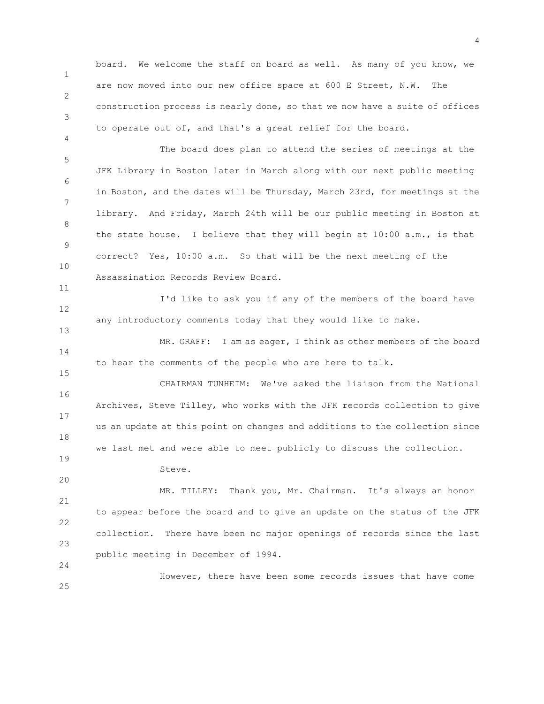1 2 3 board. We welcome the staff on board as well. As many of you know, we are now moved into our new office space at 600 E Street, N.W. The construction process is nearly done, so that we now have a suite of offices to operate out of, and that's a great relief for the board.

5 6 7 8 9 10 The board does plan to attend the series of meetings at the JFK Library in Boston later in March along with our next public meeting in Boston, and the dates will be Thursday, March 23rd, for meetings at the library. And Friday, March 24th will be our public meeting in Boston at the state house. I believe that they will begin at 10:00 a.m., is that correct? Yes, 10:00 a.m. So that will be the next meeting of the Assassination Records Review Board.

12 I'd like to ask you if any of the members of the board have any introductory comments today that they would like to make.

14 MR. GRAFF: I am as eager, I think as other members of the board to hear the comments of the people who are here to talk.

16 17 18 CHAIRMAN TUNHEIM: We've asked the liaison from the National Archives, Steve Tilley, who works with the JFK records collection to give us an update at this point on changes and additions to the collection since we last met and were able to meet publicly to discuss the collection.

Steve.

4

11

13

15

19

20

24

21 22 23 MR. TILLEY: Thank you, Mr. Chairman. It's always an honor to appear before the board and to give an update on the status of the JFK collection. There have been no major openings of records since the last public meeting in December of 1994.

25 However, there have been some records issues that have come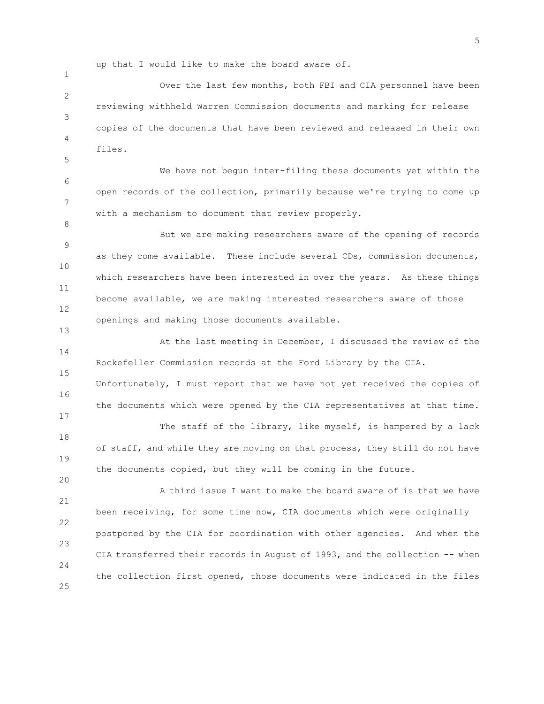up that I would like to make the board aware of.

1

5

8

13

17

20

2 3 4 Over the last few months, both FBI and CIA personnel have been reviewing withheld Warren Commission documents and marking for release copies of the documents that have been reviewed and released in their own files.

6 7 We have not begun inter-filing these documents yet within the open records of the collection, primarily because we're trying to come up with a mechanism to document that review properly.

9 10 11 12 But we are making researchers aware of the opening of records as they come available. These include several CDs, commission documents, which researchers have been interested in over the years. As these things become available, we are making interested researchers aware of those openings and making those documents available.

14 15 At the last meeting in December, I discussed the review of the Rockefeller Commission records at the Ford Library by the CIA.

16 Unfortunately, I must report that we have not yet received the copies of the documents which were opened by the CIA representatives at that time.

18 19 The staff of the library, like myself, is hampered by a lack of staff, and while they are moving on that process, they still do not have the documents copied, but they will be coming in the future.

21 22 23 24 25 A third issue I want to make the board aware of is that we have been receiving, for some time now, CIA documents which were originally postponed by the CIA for coordination with other agencies. And when the CIA transferred their records in August of 1993, and the collection -- when the collection first opened, those documents were indicated in the files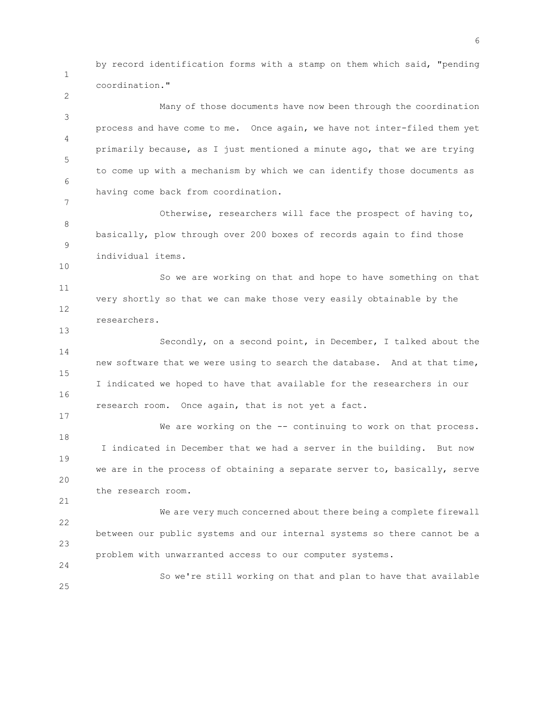by record identification forms with a stamp on them which said, "pending coordination."

1

2

10

13

17

21

24

3 4 5 6 7 Many of those documents have now been through the coordination process and have come to me. Once again, we have not inter-filed them yet primarily because, as I just mentioned a minute ago, that we are trying to come up with a mechanism by which we can identify those documents as having come back from coordination.

8 9 Otherwise, researchers will face the prospect of having to, basically, plow through over 200 boxes of records again to find those individual items.

11 12 So we are working on that and hope to have something on that very shortly so that we can make those very easily obtainable by the researchers.

14 15 16 Secondly, on a second point, in December, I talked about the new software that we were using to search the database. And at that time, I indicated we hoped to have that available for the researchers in our research room. Once again, that is not yet a fact.

18 19 20 We are working on the -- continuing to work on that process. I indicated in December that we had a server in the building. But now we are in the process of obtaining a separate server to, basically, serve the research room.

22 23 We are very much concerned about there being a complete firewall between our public systems and our internal systems so there cannot be a problem with unwarranted access to our computer systems.

25 So we're still working on that and plan to have that available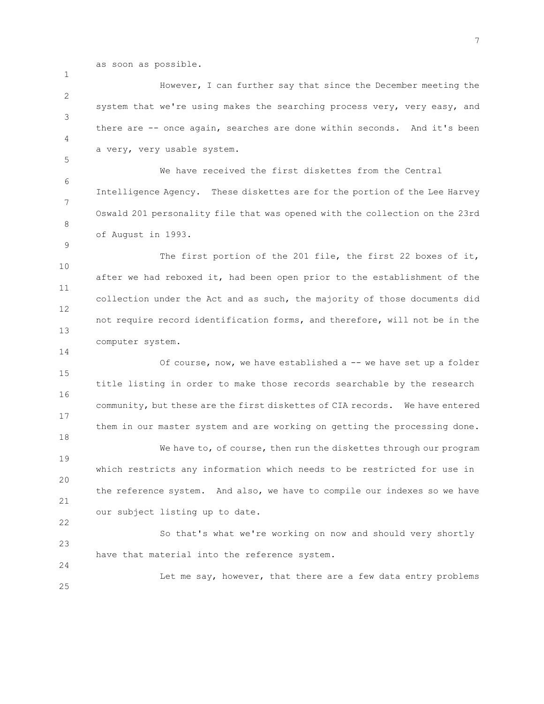as soon as possible.

1

5

9

14

24

2 3 4 However, I can further say that since the December meeting the system that we're using makes the searching process very, very easy, and there are -- once again, searches are done within seconds. And it's been a very, very usable system.

6 7 8 We have received the first diskettes from the Central Intelligence Agency. These diskettes are for the portion of the Lee Harvey Oswald 201 personality file that was opened with the collection on the 23rd of August in 1993.

10 11 12 13 The first portion of the 201 file, the first 22 boxes of it, after we had reboxed it, had been open prior to the establishment of the collection under the Act and as such, the majority of those documents did not require record identification forms, and therefore, will not be in the computer system.

15 16 17 18 19 20 21 22 Of course, now, we have established a -- we have set up a folder title listing in order to make those records searchable by the research community, but these are the first diskettes of CIA records. We have entered them in our master system and are working on getting the processing done. We have to, of course, then run the diskettes through our program which restricts any information which needs to be restricted for use in the reference system. And also, we have to compile our indexes so we have our subject listing up to date.

23 So that's what we're working on now and should very shortly have that material into the reference system.

25 Let me say, however, that there are a few data entry problems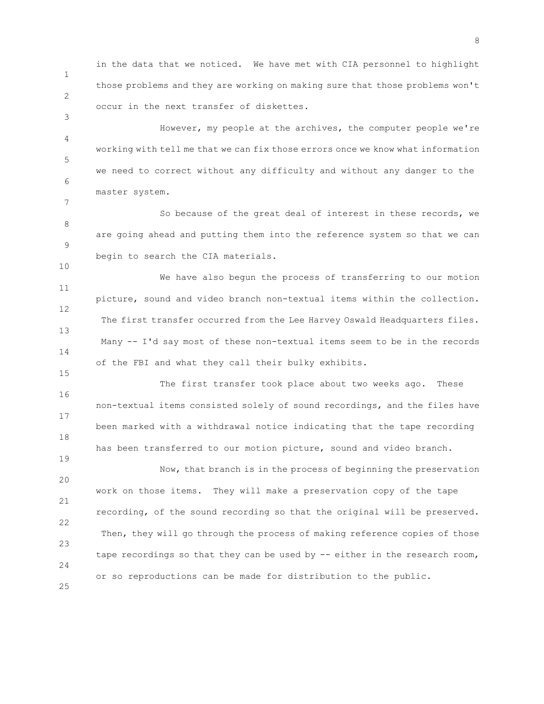1 2 in the data that we noticed. We have met with CIA personnel to highlight those problems and they are working on making sure that those problems won't occur in the next transfer of diskettes.

3

7

10

15

19

4 5 6 However, my people at the archives, the computer people we're working with tell me that we can fix those errors once we know what information we need to correct without any difficulty and without any danger to the master system.

8 9 So because of the great deal of interest in these records, we are going ahead and putting them into the reference system so that we can begin to search the CIA materials.

11 12 13 14 We have also begun the process of transferring to our motion picture, sound and video branch non-textual items within the collection. The first transfer occurred from the Lee Harvey Oswald Headquarters files. Many -- I'd say most of these non-textual items seem to be in the records of the FBI and what they call their bulky exhibits.

16 17 18 The first transfer took place about two weeks ago. These non-textual items consisted solely of sound recordings, and the files have been marked with a withdrawal notice indicating that the tape recording has been transferred to our motion picture, sound and video branch.

20 21 22 23 24 25 Now, that branch is in the process of beginning the preservation work on those items. They will make a preservation copy of the tape recording, of the sound recording so that the original will be preserved. Then, they will go through the process of making reference copies of those tape recordings so that they can be used by -- either in the research room, or so reproductions can be made for distribution to the public.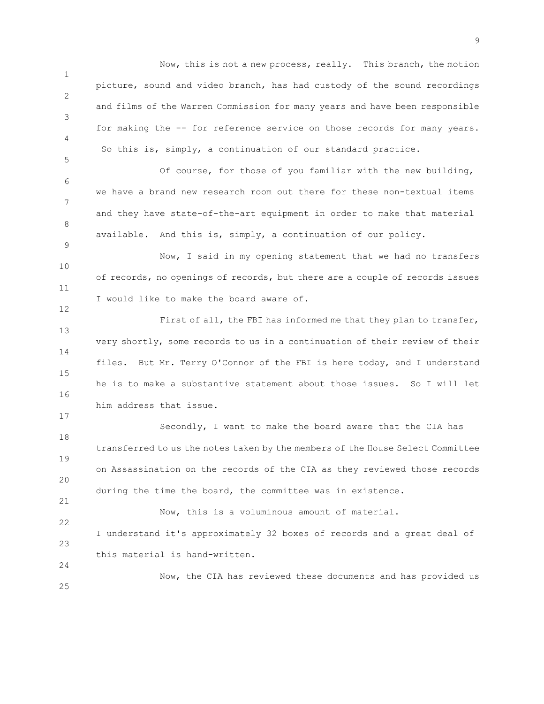1 2 3 4 Now, this is not a new process, really. This branch, the motion picture, sound and video branch, has had custody of the sound recordings and films of the Warren Commission for many years and have been responsible for making the -- for reference service on those records for many years. So this is, simply, a continuation of our standard practice.

6 7 8 Of course, for those of you familiar with the new building, we have a brand new research room out there for these non-textual items and they have state-of-the-art equipment in order to make that material available. And this is, simply, a continuation of our policy.

5

9

12

17

21

24

10 11 Now, I said in my opening statement that we had no transfers of records, no openings of records, but there are a couple of records issues I would like to make the board aware of.

13 14 15 16 First of all, the FBI has informed me that they plan to transfer, very shortly, some records to us in a continuation of their review of their files. But Mr. Terry O'Connor of the FBI is here today, and I understand he is to make a substantive statement about those issues. So I will let him address that issue.

18 19 20 Secondly, I want to make the board aware that the CIA has transferred to us the notes taken by the members of the House Select Committee on Assassination on the records of the CIA as they reviewed those records during the time the board, the committee was in existence.

22 23 Now, this is a voluminous amount of material. I understand it's approximately 32 boxes of records and a great deal of this material is hand-written.

25 Now, the CIA has reviewed these documents and has provided us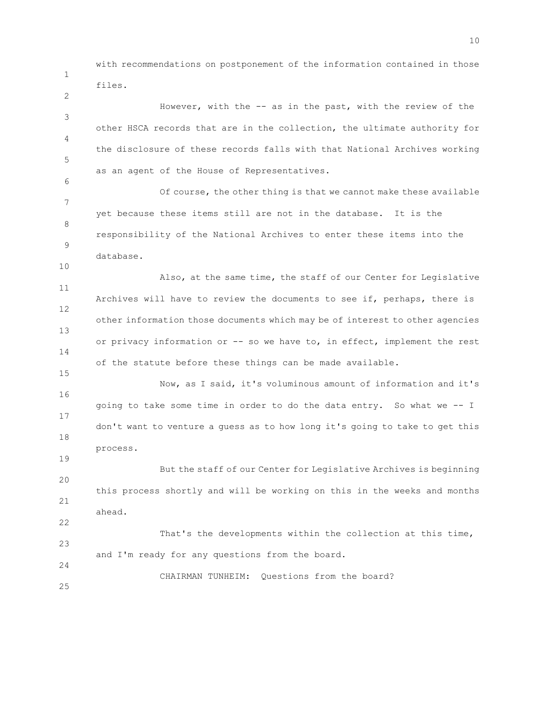with recommendations on postponement of the information contained in those files.

1

2

3 4 5 6 7 8 9 10 11 12 13 14 15 16 17 18 19 20 21 22 23 24 25 However, with the -- as in the past, with the review of the other HSCA records that are in the collection, the ultimate authority for the disclosure of these records falls with that National Archives working as an agent of the House of Representatives. Of course, the other thing is that we cannot make these available yet because these items still are not in the database. It is the responsibility of the National Archives to enter these items into the database. Also, at the same time, the staff of our Center for Legislative Archives will have to review the documents to see if, perhaps, there is other information those documents which may be of interest to other agencies or privacy information or -- so we have to, in effect, implement the rest of the statute before these things can be made available. Now, as I said, it's voluminous amount of information and it's going to take some time in order to do the data entry. So what we -- I don't want to venture a guess as to how long it's going to take to get this process. But the staff of our Center for Legislative Archives is beginning this process shortly and will be working on this in the weeks and months ahead. That's the developments within the collection at this time, and I'm ready for any questions from the board. CHAIRMAN TUNHEIM: Questions from the board?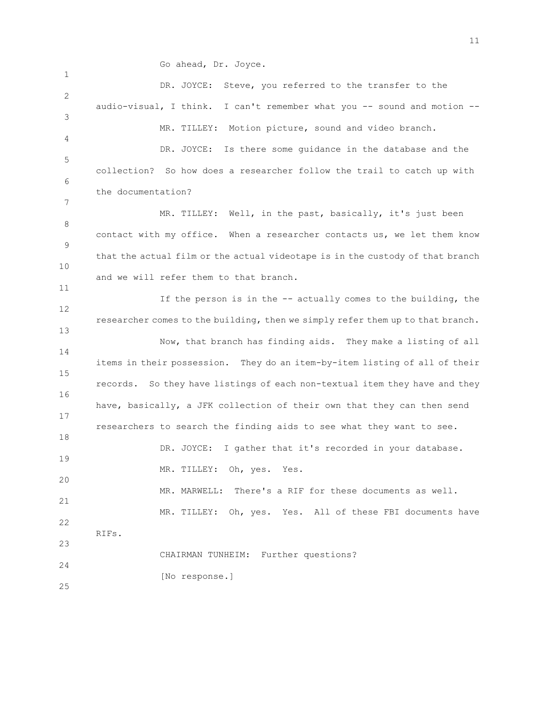Go ahead, Dr. Joyce.

1 2 3 4 5 6 7 8 9 10 11 12 13 14 15 16 17 18 19 20 21 22 23 24 25 DR. JOYCE: Steve, you referred to the transfer to the audio-visual, I think. I can't remember what you -- sound and motion -- MR. TILLEY: Motion picture, sound and video branch. DR. JOYCE: Is there some guidance in the database and the collection? So how does a researcher follow the trail to catch up with the documentation? MR. TILLEY: Well, in the past, basically, it's just been contact with my office. When a researcher contacts us, we let them know that the actual film or the actual videotape is in the custody of that branch and we will refer them to that branch. If the person is in the -- actually comes to the building, the researcher comes to the building, then we simply refer them up to that branch. Now, that branch has finding aids. They make a listing of all items in their possession. They do an item-by-item listing of all of their records. So they have listings of each non-textual item they have and they have, basically, a JFK collection of their own that they can then send researchers to search the finding aids to see what they want to see. DR. JOYCE: I gather that it's recorded in your database. MR. TILLEY: Oh, yes. Yes. MR. MARWELL: There's a RIF for these documents as well. MR. TILLEY: Oh, yes. Yes. All of these FBI documents have RIFs. CHAIRMAN TUNHEIM: Further questions? [No response.]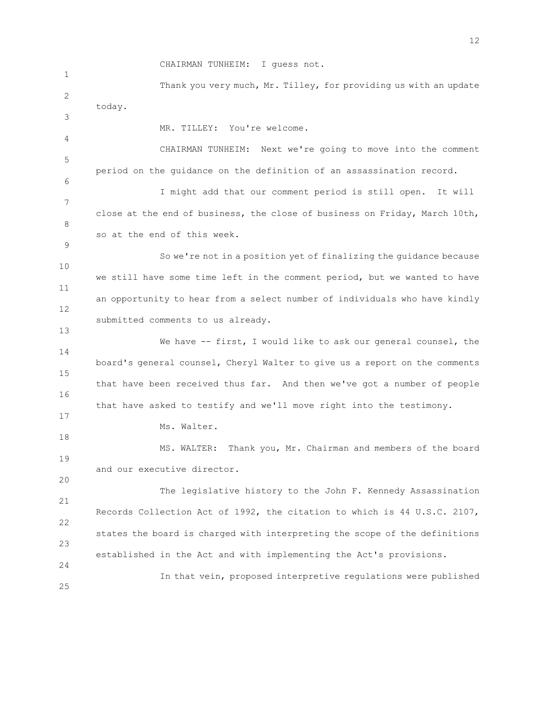1 2 3 4 5 6 7 8 9 10 11 12 13 14 15 16 17 18 19 20 21 22 23 24 25 CHAIRMAN TUNHEIM: I guess not. Thank you very much, Mr. Tilley, for providing us with an update today. MR. TILLEY: You're welcome. CHAIRMAN TUNHEIM: Next we're going to move into the comment period on the guidance on the definition of an assassination record. I might add that our comment period is still open. It will close at the end of business, the close of business on Friday, March 10th, so at the end of this week. So we're not in a position yet of finalizing the guidance because we still have some time left in the comment period, but we wanted to have an opportunity to hear from a select number of individuals who have kindly submitted comments to us already. We have -- first, I would like to ask our general counsel, the board's general counsel, Cheryl Walter to give us a report on the comments that have been received thus far. And then we've got a number of people that have asked to testify and we'll move right into the testimony. Ms. Walter. MS. WALTER: Thank you, Mr. Chairman and members of the board and our executive director. The legislative history to the John F. Kennedy Assassination Records Collection Act of 1992, the citation to which is 44 U.S.C. 2107, states the board is charged with interpreting the scope of the definitions established in the Act and with implementing the Act's provisions. In that vein, proposed interpretive regulations were published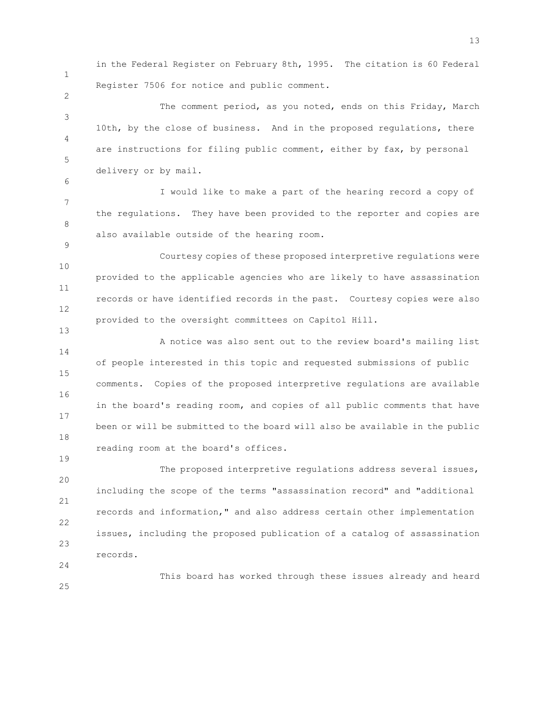1

2

6

9

13

in the Federal Register on February 8th, 1995. The citation is 60 Federal Register 7506 for notice and public comment.

3 4 5 The comment period, as you noted, ends on this Friday, March 10th, by the close of business. And in the proposed regulations, there are instructions for filing public comment, either by fax, by personal delivery or by mail.

7 8 I would like to make a part of the hearing record a copy of the regulations. They have been provided to the reporter and copies are also available outside of the hearing room.

10 11 12 Courtesy copies of these proposed interpretive regulations were provided to the applicable agencies who are likely to have assassination records or have identified records in the past. Courtesy copies were also provided to the oversight committees on Capitol Hill.

14 15 16 17 18 A notice was also sent out to the review board's mailing list of people interested in this topic and requested submissions of public comments. Copies of the proposed interpretive regulations are available in the board's reading room, and copies of all public comments that have been or will be submitted to the board will also be available in the public reading room at the board's offices.

20 21 22 23 The proposed interpretive regulations address several issues, including the scope of the terms "assassination record" and "additional records and information," and also address certain other implementation issues, including the proposed publication of a catalog of assassination records.

24

19

This board has worked through these issues already and heard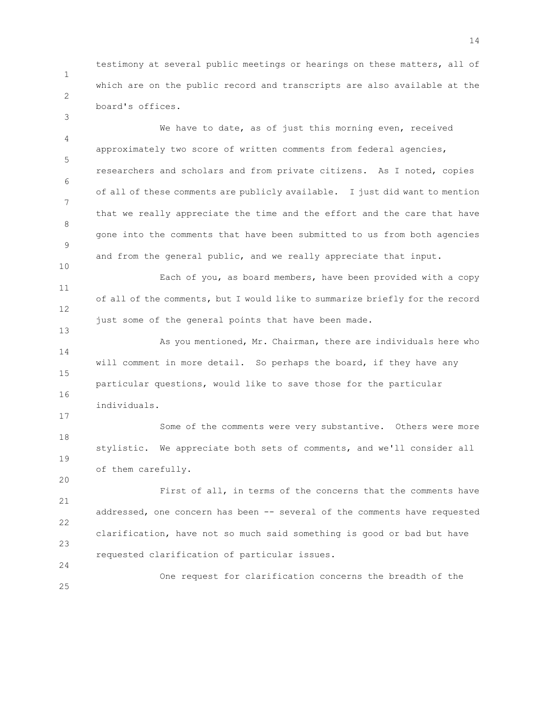1 2 testimony at several public meetings or hearings on these matters, all of which are on the public record and transcripts are also available at the board's offices.

3

13

17

20

24

4 5 6 7 8 9 10 We have to date, as of just this morning even, received approximately two score of written comments from federal agencies, researchers and scholars and from private citizens. As I noted, copies of all of these comments are publicly available. I just did want to mention that we really appreciate the time and the effort and the care that have gone into the comments that have been submitted to us from both agencies and from the general public, and we really appreciate that input.

11 12 Each of you, as board members, have been provided with a copy of all of the comments, but I would like to summarize briefly for the record just some of the general points that have been made.

14 15 16 As you mentioned, Mr. Chairman, there are individuals here who will comment in more detail. So perhaps the board, if they have any particular questions, would like to save those for the particular individuals.

18 19 Some of the comments were very substantive. Others were more stylistic. We appreciate both sets of comments, and we'll consider all of them carefully.

21 22 23 First of all, in terms of the concerns that the comments have addressed, one concern has been -- several of the comments have requested clarification, have not so much said something is good or bad but have requested clarification of particular issues.

25 One request for clarification concerns the breadth of the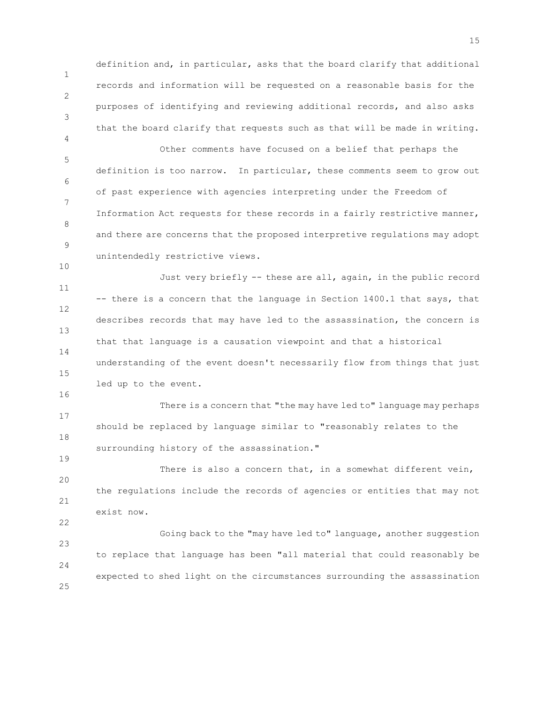definition and, in particular, asks that the board clarify that additional records and information will be requested on a reasonable basis for the purposes of identifying and reviewing additional records, and also asks that the board clarify that requests such as that will be made in writing.

1

2

3

4

10

16

19

22

5 6 7 8 9 Other comments have focused on a belief that perhaps the definition is too narrow. In particular, these comments seem to grow out of past experience with agencies interpreting under the Freedom of Information Act requests for these records in a fairly restrictive manner, and there are concerns that the proposed interpretive regulations may adopt unintendedly restrictive views.

11 12 13 14 15 Just very briefly -- these are all, again, in the public record -- there is a concern that the language in Section 1400.1 that says, that describes records that may have led to the assassination, the concern is that that language is a causation viewpoint and that a historical understanding of the event doesn't necessarily flow from things that just led up to the event.

17 18 There is a concern that "the may have led to" language may perhaps should be replaced by language similar to "reasonably relates to the surrounding history of the assassination."

20 21 There is also a concern that, in a somewhat different vein, the regulations include the records of agencies or entities that may not exist now.

23 24 25 Going back to the "may have led to" language, another suggestion to replace that language has been "all material that could reasonably be expected to shed light on the circumstances surrounding the assassination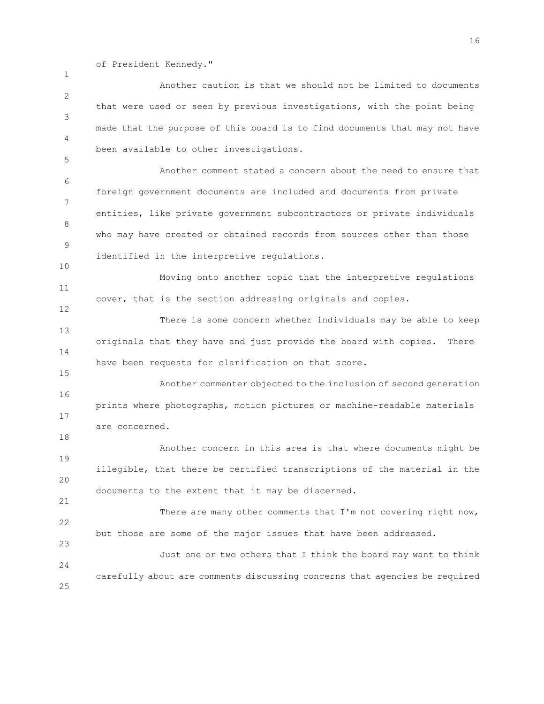of President Kennedy."

1

2 3 4 5 6 7 8 9 10 11 12 13 14 15 16 17 18 19 20 21 22 23  $24$ 25 Another caution is that we should not be limited to documents that were used or seen by previous investigations, with the point being made that the purpose of this board is to find documents that may not have been available to other investigations. Another comment stated a concern about the need to ensure that foreign government documents are included and documents from private entities, like private government subcontractors or private individuals who may have created or obtained records from sources other than those identified in the interpretive regulations. Moving onto another topic that the interpretive regulations cover, that is the section addressing originals and copies. There is some concern whether individuals may be able to keep originals that they have and just provide the board with copies. There have been requests for clarification on that score. Another commenter objected to the inclusion of second generation prints where photographs, motion pictures or machine-readable materials are concerned. Another concern in this area is that where documents might be illegible, that there be certified transcriptions of the material in the documents to the extent that it may be discerned. There are many other comments that I'm not covering right now, but those are some of the major issues that have been addressed. Just one or two others that I think the board may want to think carefully about are comments discussing concerns that agencies be required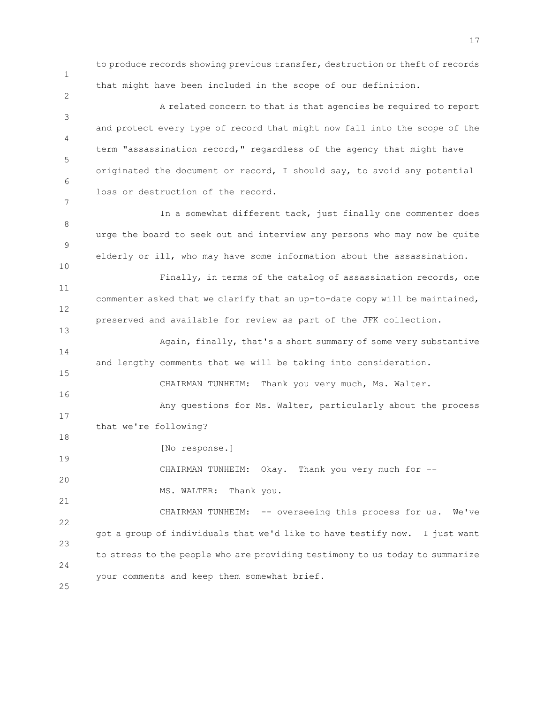1

2

9

10

13

15

to produce records showing previous transfer, destruction or theft of records that might have been included in the scope of our definition.

3 4 5 6 7 A related concern to that is that agencies be required to report and protect every type of record that might now fall into the scope of the term "assassination record," regardless of the agency that might have originated the document or record, I should say, to avoid any potential loss or destruction of the record.

8 In a somewhat different tack, just finally one commenter does urge the board to seek out and interview any persons who may now be quite elderly or ill, who may have some information about the assassination.

11 12 Finally, in terms of the catalog of assassination records, one commenter asked that we clarify that an up-to-date copy will be maintained, preserved and available for review as part of the JFK collection.

14 Again, finally, that's a short summary of some very substantive and lengthy comments that we will be taking into consideration.

16 17 18 19 CHAIRMAN TUNHEIM: Thank you very much, Ms. Walter. Any questions for Ms. Walter, particularly about the process that we're following? [No response.]

20 21 CHAIRMAN TUNHEIM: Okay. Thank you very much for --MS. WALTER: Thank you.

22 23 24 25 CHAIRMAN TUNHEIM: -- overseeing this process for us. We've got a group of individuals that we'd like to have testify now. I just want to stress to the people who are providing testimony to us today to summarize your comments and keep them somewhat brief.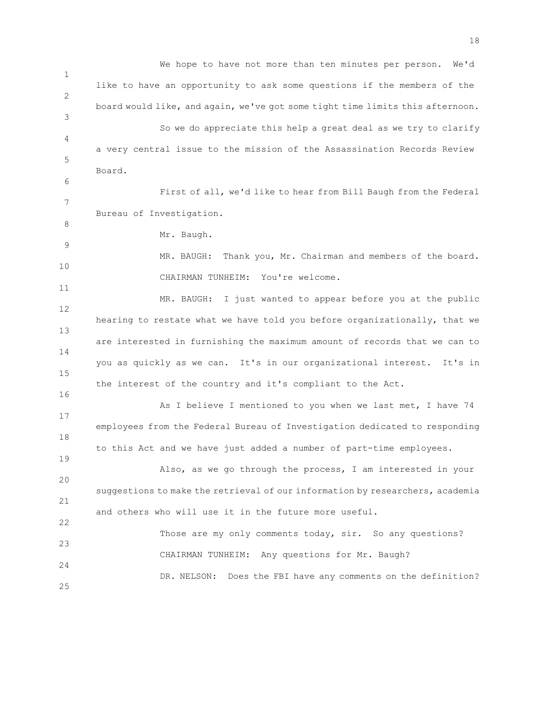1 2 3 4 5 6 7 8 9 10 11 12 13 14 15 16 17 18 19 20 21 22 23 24 25 We hope to have not more than ten minutes per person. We'd like to have an opportunity to ask some questions if the members of the board would like, and again, we've got some tight time limits this afternoon. So we do appreciate this help a great deal as we try to clarify a very central issue to the mission of the Assassination Records Review Board. First of all, we'd like to hear from Bill Baugh from the Federal Bureau of Investigation. Mr. Baugh. MR. BAUGH: Thank you, Mr. Chairman and members of the board. CHAIRMAN TUNHEIM: You're welcome. MR. BAUGH: I just wanted to appear before you at the public hearing to restate what we have told you before organizationally, that we are interested in furnishing the maximum amount of records that we can to you as quickly as we can. It's in our organizational interest. It's in the interest of the country and it's compliant to the Act. As I believe I mentioned to you when we last met, I have 74 employees from the Federal Bureau of Investigation dedicated to responding to this Act and we have just added a number of part-time employees. Also, as we go through the process, I am interested in your suggestions to make the retrieval of our information by researchers, academia and others who will use it in the future more useful. Those are my only comments today, sir. So any questions? CHAIRMAN TUNHEIM: Any questions for Mr. Baugh? DR. NELSON: Does the FBI have any comments on the definition?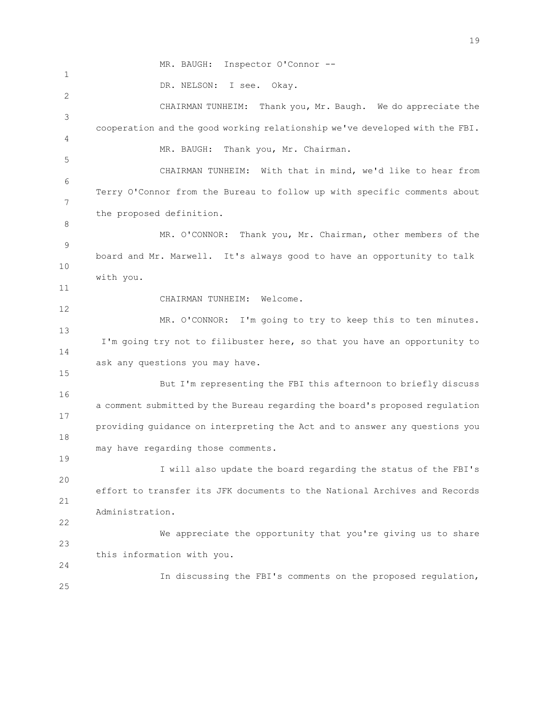1 2 3 4 5 6 7 8 9 10 11 12 13 14 15 16 17 18 19 20 21 22 23 24 25 MR. BAUGH: Inspector O'Connor -- DR. NELSON: I see. Okay. CHAIRMAN TUNHEIM: Thank you, Mr. Baugh. We do appreciate the cooperation and the good working relationship we've developed with the FBI. MR. BAUGH: Thank you, Mr. Chairman. CHAIRMAN TUNHEIM: With that in mind, we'd like to hear from Terry O'Connor from the Bureau to follow up with specific comments about the proposed definition. MR. O'CONNOR: Thank you, Mr. Chairman, other members of the board and Mr. Marwell. It's always good to have an opportunity to talk with you. CHAIRMAN TUNHEIM: Welcome. MR. O'CONNOR: I'm going to try to keep this to ten minutes. I'm going try not to filibuster here, so that you have an opportunity to ask any questions you may have. But I'm representing the FBI this afternoon to briefly discuss a comment submitted by the Bureau regarding the board's proposed regulation providing guidance on interpreting the Act and to answer any questions you may have regarding those comments. I will also update the board regarding the status of the FBI's effort to transfer its JFK documents to the National Archives and Records Administration. We appreciate the opportunity that you're giving us to share this information with you. In discussing the FBI's comments on the proposed regulation,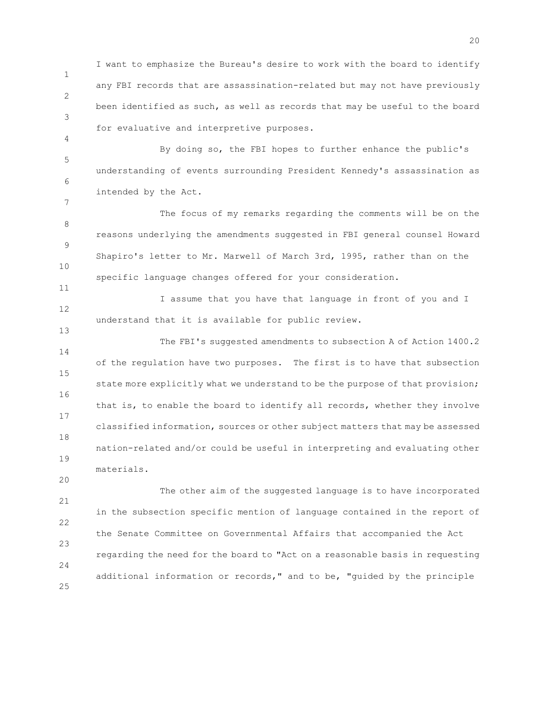1 2 3 I want to emphasize the Bureau's desire to work with the board to identify any FBI records that are assassination-related but may not have previously been identified as such, as well as records that may be useful to the board for evaluative and interpretive purposes.

5 6 By doing so, the FBI hopes to further enhance the public's understanding of events surrounding President Kennedy's assassination as intended by the Act.

4

7

11

13

20

8 9 10 The focus of my remarks regarding the comments will be on the reasons underlying the amendments suggested in FBI general counsel Howard Shapiro's letter to Mr. Marwell of March 3rd, 1995, rather than on the specific language changes offered for your consideration.

12 I assume that you have that language in front of you and I understand that it is available for public review.

14 15 16 17 18 19 The FBI's suggested amendments to subsection A of Action 1400.2 of the regulation have two purposes. The first is to have that subsection state more explicitly what we understand to be the purpose of that provision; that is, to enable the board to identify all records, whether they involve classified information, sources or other subject matters that may be assessed nation-related and/or could be useful in interpreting and evaluating other materials.

21 22 23 24 25 The other aim of the suggested language is to have incorporated in the subsection specific mention of language contained in the report of the Senate Committee on Governmental Affairs that accompanied the Act regarding the need for the board to "Act on a reasonable basis in requesting additional information or records," and to be, "guided by the principle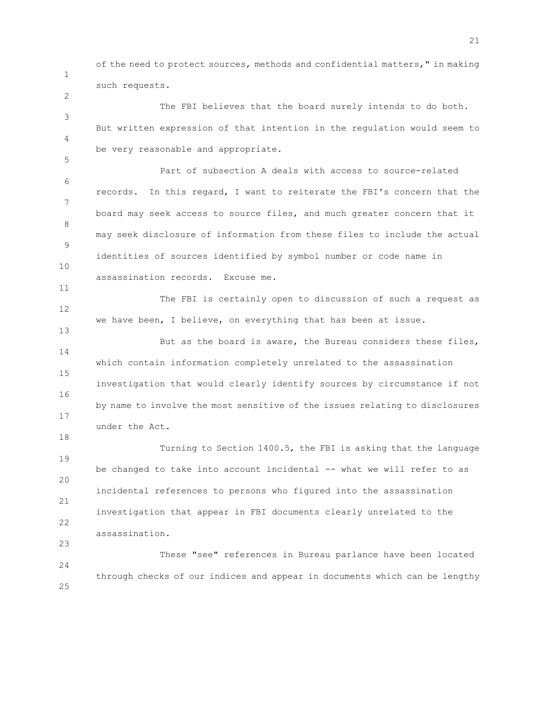1

2

5

11

18

of the need to protect sources, methods and confidential matters," in making such requests.

3 4 The FBI believes that the board surely intends to do both. But written expression of that intention in the regulation would seem to be very reasonable and appropriate.

6 7 8 9 10 Part of subsection A deals with access to source-related records. In this regard, I want to reiterate the FBI's concern that the board may seek access to source files, and much greater concern that it may seek disclosure of information from these files to include the actual identities of sources identified by symbol number or code name in assassination records. Excuse me.

12 13 The FBI is certainly open to discussion of such a request as we have been, I believe, on everything that has been at issue.

14 15 16 17 But as the board is aware, the Bureau considers these files, which contain information completely unrelated to the assassination investigation that would clearly identify sources by circumstance if not by name to involve the most sensitive of the issues relating to disclosures under the Act.

19 20 21 22 23 Turning to Section 1400.5, the FBI is asking that the language be changed to take into account incidental -- what we will refer to as incidental references to persons who figured into the assassination investigation that appear in FBI documents clearly unrelated to the assassination.

24 25 These "see" references in Bureau parlance have been located through checks of our indices and appear in documents which can be lengthy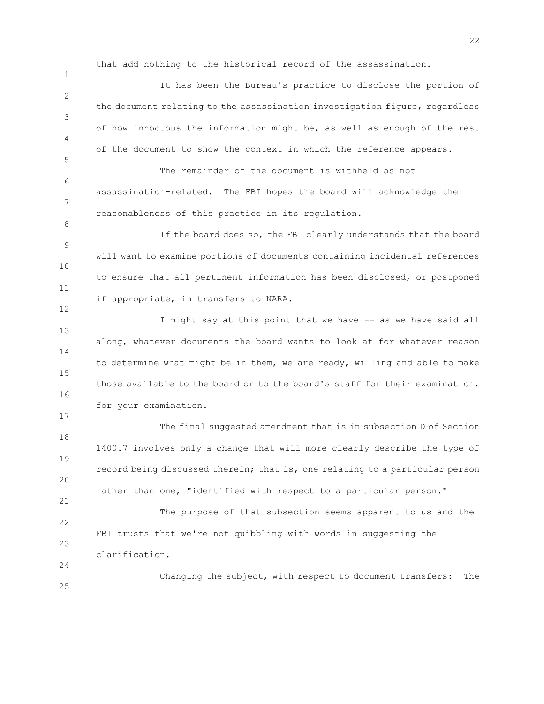that add nothing to the historical record of the assassination.

1

5

8

12

17

21

24

2 3 4 It has been the Bureau's practice to disclose the portion of the document relating to the assassination investigation figure, regardless of how innocuous the information might be, as well as enough of the rest of the document to show the context in which the reference appears.

6 7 The remainder of the document is withheld as not assassination-related. The FBI hopes the board will acknowledge the reasonableness of this practice in its regulation.

9 10 11 If the board does so, the FBI clearly understands that the board will want to examine portions of documents containing incidental references to ensure that all pertinent information has been disclosed, or postponed if appropriate, in transfers to NARA.

13 14 15 16 I might say at this point that we have -- as we have said all along, whatever documents the board wants to look at for whatever reason to determine what might be in them, we are ready, willing and able to make those available to the board or to the board's staff for their examination, for your examination.

18 19 20 The final suggested amendment that is in subsection D of Section 1400.7 involves only a change that will more clearly describe the type of record being discussed therein; that is, one relating to a particular person rather than one, "identified with respect to a particular person."

22 23 The purpose of that subsection seems apparent to us and the FBI trusts that we're not quibbling with words in suggesting the clarification.

25 Changing the subject, with respect to document transfers: The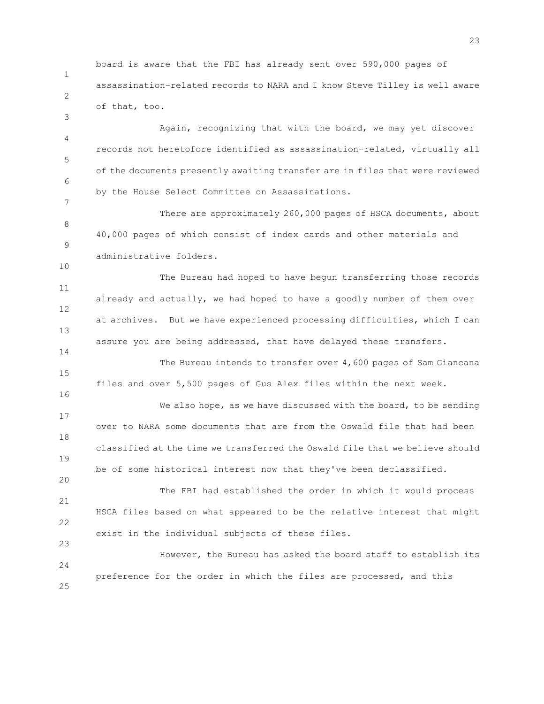1 2 board is aware that the FBI has already sent over 590,000 pages of assassination-related records to NARA and I know Steve Tilley is well aware of that, too.

3

7

10

14

16

20

4 5 6 Again, recognizing that with the board, we may yet discover records not heretofore identified as assassination-related, virtually all of the documents presently awaiting transfer are in files that were reviewed by the House Select Committee on Assassinations.

8 9 There are approximately 260,000 pages of HSCA documents, about 40,000 pages of which consist of index cards and other materials and administrative folders.

11 12 13 The Bureau had hoped to have begun transferring those records already and actually, we had hoped to have a goodly number of them over at archives. But we have experienced processing difficulties, which I can assure you are being addressed, that have delayed these transfers.

15 The Bureau intends to transfer over 4,600 pages of Sam Giancana files and over 5,500 pages of Gus Alex files within the next week.

17 18 19 We also hope, as we have discussed with the board, to be sending over to NARA some documents that are from the Oswald file that had been classified at the time we transferred the Oswald file that we believe should be of some historical interest now that they've been declassified.

21 22 23 The FBI had established the order in which it would process HSCA files based on what appeared to be the relative interest that might exist in the individual subjects of these files.

24 25 However, the Bureau has asked the board staff to establish its preference for the order in which the files are processed, and this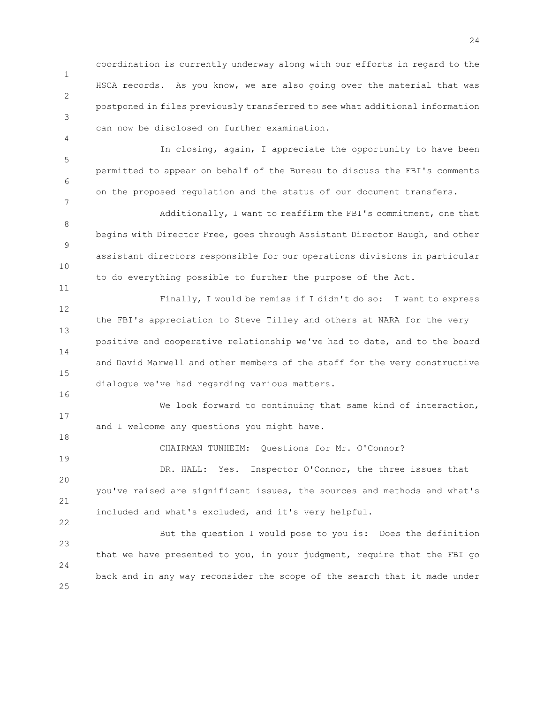1 2 3 coordination is currently underway along with our efforts in regard to the HSCA records. As you know, we are also going over the material that was postponed in files previously transferred to see what additional information can now be disclosed on further examination.

5 6 In closing, again, I appreciate the opportunity to have been permitted to appear on behalf of the Bureau to discuss the FBI's comments on the proposed regulation and the status of our document transfers.

4

7

11

16

18

19

22

8 9 10 Additionally, I want to reaffirm the FBI's commitment, one that begins with Director Free, goes through Assistant Director Baugh, and other assistant directors responsible for our operations divisions in particular to do everything possible to further the purpose of the Act.

12 13 14 15 Finally, I would be remiss if I didn't do so: I want to express the FBI's appreciation to Steve Tilley and others at NARA for the very positive and cooperative relationship we've had to date, and to the board and David Marwell and other members of the staff for the very constructive dialogue we've had regarding various matters.

17 We look forward to continuing that same kind of interaction, and I welcome any questions you might have.

CHAIRMAN TUNHEIM: Questions for Mr. O'Connor?

 $20$ 21 DR. HALL: Yes. Inspector O'Connor, the three issues that you've raised are significant issues, the sources and methods and what's included and what's excluded, and it's very helpful.

23 24 25 But the question I would pose to you is: Does the definition that we have presented to you, in your judgment, require that the FBI go back and in any way reconsider the scope of the search that it made under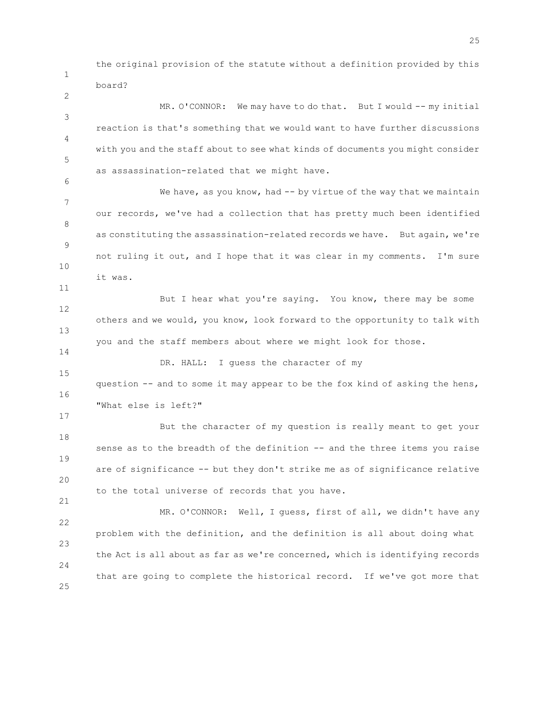the original provision of the statute without a definition provided by this board?

1

2

11

14

17

21

3 4 5 6 MR. O'CONNOR: We may have to do that. But I would -- my initial reaction is that's something that we would want to have further discussions with you and the staff about to see what kinds of documents you might consider as assassination-related that we might have.

7 8 9 10 We have, as you know, had  $-$  by virtue of the way that we maintain our records, we've had a collection that has pretty much been identified as constituting the assassination-related records we have. But again, we're not ruling it out, and I hope that it was clear in my comments. I'm sure it was.

12 13 But I hear what you're saying. You know, there may be some others and we would, you know, look forward to the opportunity to talk with you and the staff members about where we might look for those.

15 16 DR. HALL: I guess the character of my question -- and to some it may appear to be the fox kind of asking the hens, "What else is left?"

18 19 20 But the character of my question is really meant to get your sense as to the breadth of the definition -- and the three items you raise are of significance -- but they don't strike me as of significance relative to the total universe of records that you have.

22 23 24 25 MR. O'CONNOR: Well, I guess, first of all, we didn't have any problem with the definition, and the definition is all about doing what the Act is all about as far as we're concerned, which is identifying records that are going to complete the historical record. If we've got more that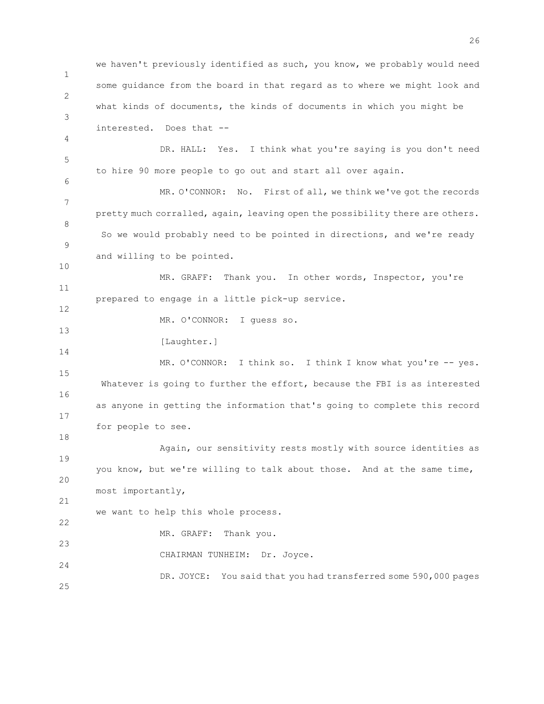1 2 3 4 5 6 7 8 9 10 11 12 13 14 15 16 17 18 19 20 21 22 23 24 25 we haven't previously identified as such, you know, we probably would need some guidance from the board in that regard as to where we might look and what kinds of documents, the kinds of documents in which you might be interested. Does that -- DR. HALL: Yes. I think what you're saying is you don't need to hire 90 more people to go out and start all over again. MR. O'CONNOR: No. First of all, we think we've got the records pretty much corralled, again, leaving open the possibility there are others. So we would probably need to be pointed in directions, and we're ready and willing to be pointed. MR. GRAFF: Thank you. In other words, Inspector, you're prepared to engage in a little pick-up service. MR. O'CONNOR: I guess so. [Laughter.] MR. O'CONNOR: I think so. I think I know what you're -- yes. Whatever is going to further the effort, because the FBI is as interested as anyone in getting the information that's going to complete this record for people to see. Again, our sensitivity rests mostly with source identities as you know, but we're willing to talk about those. And at the same time, most importantly, we want to help this whole process. MR. GRAFF: Thank you. CHAIRMAN TUNHEIM: Dr. Joyce. DR. JOYCE: You said that you had transferred some 590,000 pages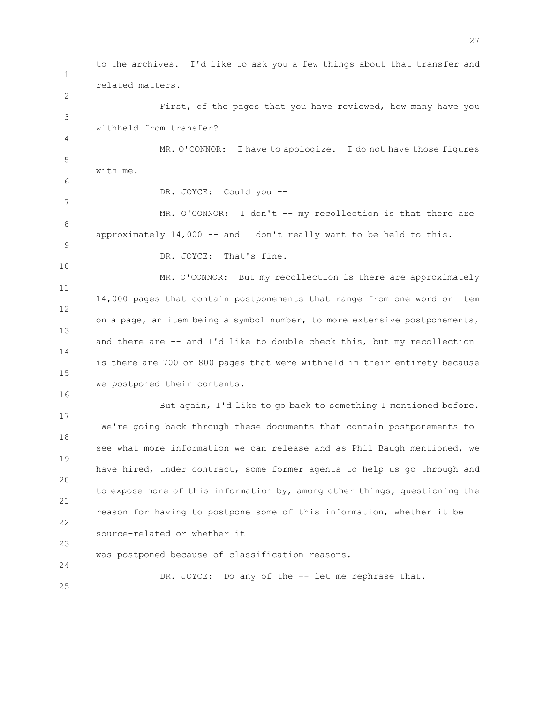1 2 3 4 5 6 7 8 9 10 11 12 13 14 15 16 17 18 19 20 21 22 23 24 25 to the archives. I'd like to ask you a few things about that transfer and related matters. First, of the pages that you have reviewed, how many have you withheld from transfer? MR. O'CONNOR: I have to apologize. I do not have those figures with me. DR. JOYCE: Could you -- MR. O'CONNOR: I don't -- my recollection is that there are approximately  $14,000$  -- and I don't really want to be held to this. DR. JOYCE: That's fine. MR. O'CONNOR: But my recollection is there are approximately 14,000 pages that contain postponements that range from one word or item on a page, an item being a symbol number, to more extensive postponements, and there are -- and I'd like to double check this, but my recollection is there are 700 or 800 pages that were withheld in their entirety because we postponed their contents. But again, I'd like to go back to something I mentioned before. We're going back through these documents that contain postponements to see what more information we can release and as Phil Baugh mentioned, we have hired, under contract, some former agents to help us go through and to expose more of this information by, among other things, questioning the reason for having to postpone some of this information, whether it be source-related or whether it was postponed because of classification reasons. DR. JOYCE: Do any of the -- let me rephrase that.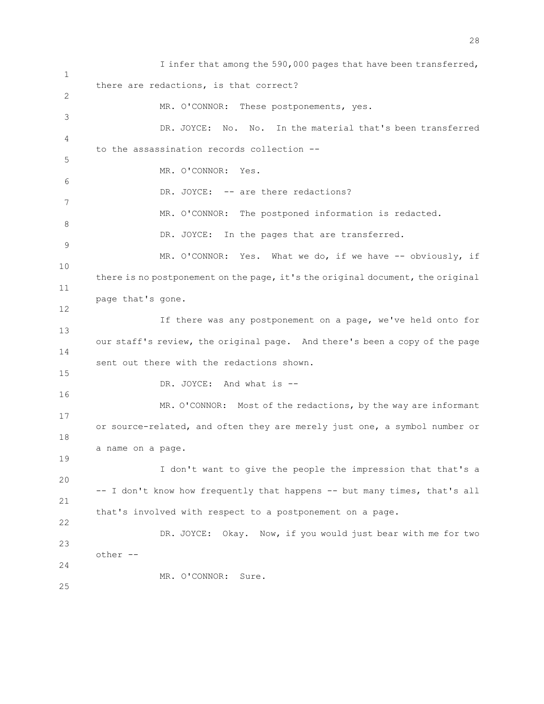1 2 3 4 5 6 7 8 9 10 11 12 13 14 15 16 17 18 19 20 21 22 23 24 25 I infer that among the 590,000 pages that have been transferred, there are redactions, is that correct? MR. O'CONNOR: These postponements, yes. DR. JOYCE: No. No. In the material that's been transferred to the assassination records collection -- MR. O'CONNOR: Yes. DR. JOYCE: -- are there redactions? MR. O'CONNOR: The postponed information is redacted. DR. JOYCE: In the pages that are transferred. MR. O'CONNOR: Yes. What we do, if we have -- obviously, if there is no postponement on the page, it's the original document, the original page that's gone. If there was any postponement on a page, we've held onto for our staff's review, the original page. And there's been a copy of the page sent out there with the redactions shown. DR. JOYCE: And what is --MR. O'CONNOR: Most of the redactions, by the way are informant or source-related, and often they are merely just one, a symbol number or a name on a page. I don't want to give the people the impression that that's a -- I don't know how frequently that happens -- but many times, that's all that's involved with respect to a postponement on a page. DR. JOYCE: Okay. Now, if you would just bear with me for two other -- MR. O'CONNOR: Sure.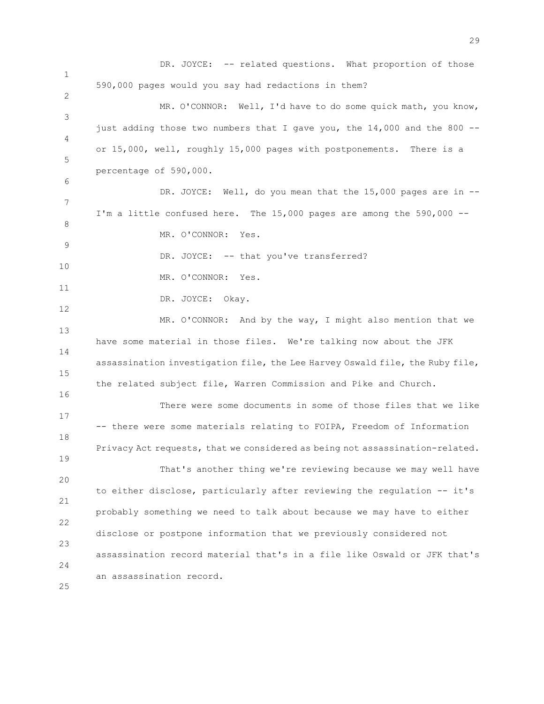1 2 3 4 5 6 7 8 9 10 11 12 13 14 15 16 17 18 19 20 21 22 23 24 25 DR. JOYCE: -- related questions. What proportion of those 590,000 pages would you say had redactions in them? MR. O'CONNOR: Well, I'd have to do some quick math, you know, just adding those two numbers that I gave you, the  $14,000$  and the 800 -or 15,000, well, roughly 15,000 pages with postponements. There is a percentage of 590,000. DR. JOYCE: Well, do you mean that the 15,000 pages are in --I'm a little confused here. The 15,000 pages are among the 590,000 --MR. O'CONNOR: Yes. DR. JOYCE: -- that you've transferred? MR. O'CONNOR: Yes. DR. JOYCE: Okay. MR. O'CONNOR: And by the way, I might also mention that we have some material in those files. We're talking now about the JFK assassination investigation file, the Lee Harvey Oswald file, the Ruby file, the related subject file, Warren Commission and Pike and Church. There were some documents in some of those files that we like -- there were some materials relating to FOIPA, Freedom of Information Privacy Act requests, that we considered as being not assassination-related. That's another thing we're reviewing because we may well have to either disclose, particularly after reviewing the regulation -- it's probably something we need to talk about because we may have to either disclose or postpone information that we previously considered not assassination record material that's in a file like Oswald or JFK that's an assassination record.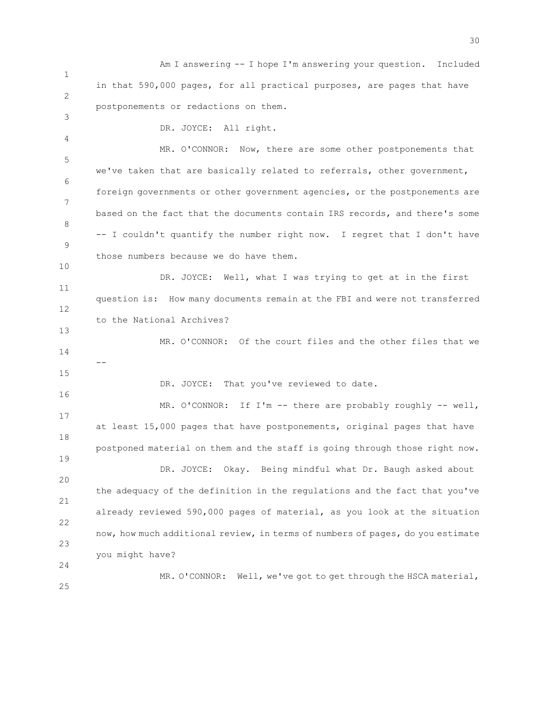1 2 Am I answering -- I hope I'm answering your question. Included in that 590,000 pages, for all practical purposes, are pages that have postponements or redactions on them.

3 4

10

13

15

16

19

DR. JOYCE: All right.

5 6 7 8 9 MR. O'CONNOR: Now, there are some other postponements that we've taken that are basically related to referrals, other government, foreign governments or other government agencies, or the postponements are based on the fact that the documents contain IRS records, and there's some -- I couldn't quantify the number right now. I regret that I don't have those numbers because we do have them.

11 12 DR. JOYCE: Well, what I was trying to get at in the first question is: How many documents remain at the FBI and were not transferred to the National Archives?

14 MR. O'CONNOR: Of the court files and the other files that we --

DR. JOYCE: That you've reviewed to date.

17 18 MR. O'CONNOR: If I'm -- there are probably roughly -- well, at least 15,000 pages that have postponements, original pages that have postponed material on them and the staff is going through those right now.

20 21 22 23 DR. JOYCE: Okay. Being mindful what Dr. Baugh asked about the adequacy of the definition in the regulations and the fact that you've already reviewed 590,000 pages of material, as you look at the situation now, how much additional review, in terms of numbers of pages, do you estimate you might have?

MR. O'CONNOR: Well, we've got to get through the HSCA material,

25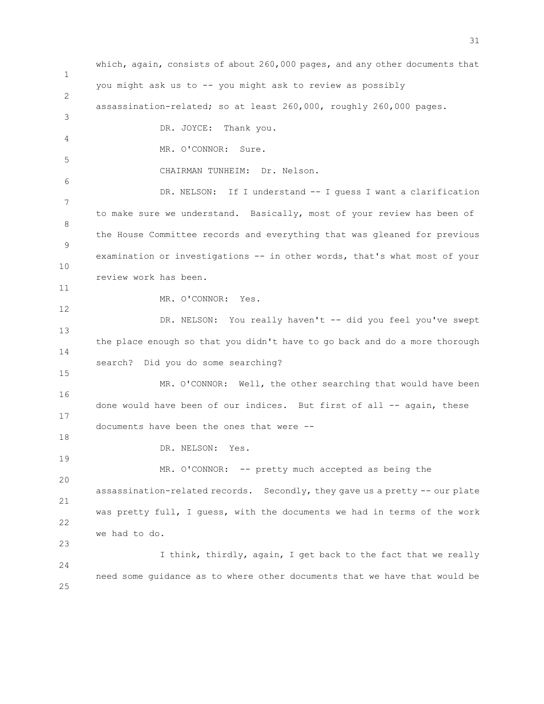1 2 3 4 5 6 7 8 9 10 11 12 13 14 15 16 17 18 19 20 21 22 23 24 25 which, again, consists of about 260,000 pages, and any other documents that you might ask us to -- you might ask to review as possibly assassination-related; so at least 260,000, roughly 260,000 pages. DR. JOYCE: Thank you. MR. O'CONNOR: Sure. CHAIRMAN TUNHEIM: Dr. Nelson. DR. NELSON: If I understand -- I guess I want a clarification to make sure we understand. Basically, most of your review has been of the House Committee records and everything that was gleaned for previous examination or investigations -- in other words, that's what most of your review work has been. MR. O'CONNOR: Yes. DR. NELSON: You really haven't -- did you feel you've swept the place enough so that you didn't have to go back and do a more thorough search? Did you do some searching? MR. O'CONNOR: Well, the other searching that would have been done would have been of our indices. But first of all -- again, these documents have been the ones that were -- DR. NELSON: Yes. MR. O'CONNOR: -- pretty much accepted as being the assassination-related records. Secondly, they gave us a pretty -- our plate was pretty full, I guess, with the documents we had in terms of the work we had to do. I think, thirdly, again, I get back to the fact that we really need some guidance as to where other documents that we have that would be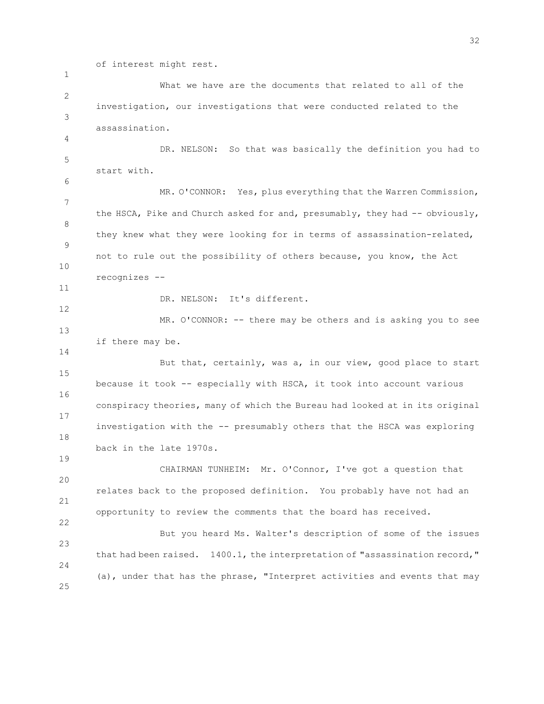of interest might rest.

2 3 What we have are the documents that related to all of the investigation, our investigations that were conducted related to the assassination.

5 DR. NELSON: So that was basically the definition you had to start with.

7 8 9 10 MR. O'CONNOR: Yes, plus everything that the Warren Commission, the HSCA, Pike and Church asked for and, presumably, they had -- obviously, they knew what they were looking for in terms of assassination-related, not to rule out the possibility of others because, you know, the Act recognizes --

11

1

4

6

12

14

19

22

DR. NELSON: It's different.

13 MR. O'CONNOR: -- there may be others and is asking you to see if there may be.

15 16 17 18 But that, certainly, was a, in our view, good place to start because it took -- especially with HSCA, it took into account various conspiracy theories, many of which the Bureau had looked at in its original investigation with the -- presumably others that the HSCA was exploring back in the late 1970s.

20 21 CHAIRMAN TUNHEIM: Mr. O'Connor, I've got a question that relates back to the proposed definition. You probably have not had an opportunity to review the comments that the board has received.

23 24 25 But you heard Ms. Walter's description of some of the issues that had been raised. 1400.1, the interpretation of "assassination record," (a), under that has the phrase, "Interpret activities and events that may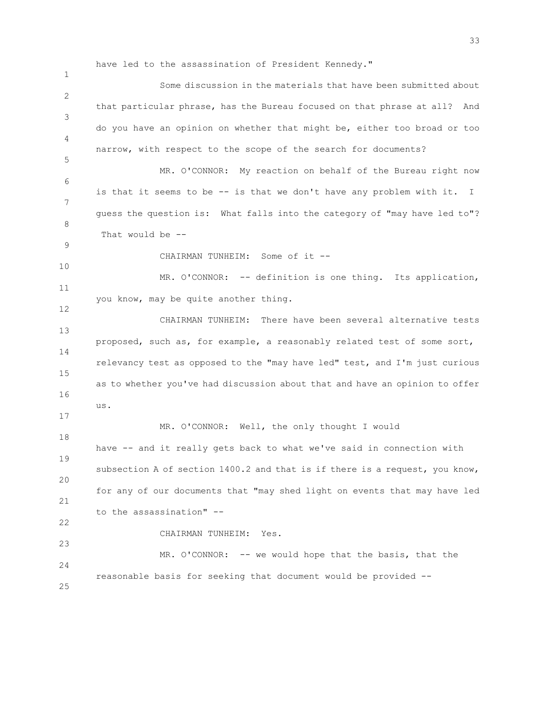have led to the assassination of President Kennedy."

1 2 3 4 5 6 7 8 9 10 11 12 13 14 15 16 Some discussion in the materials that have been submitted about that particular phrase, has the Bureau focused on that phrase at all? And do you have an opinion on whether that might be, either too broad or too narrow, with respect to the scope of the search for documents? MR. O'CONNOR: My reaction on behalf of the Bureau right now is that it seems to be -- is that we don't have any problem with it. I guess the question is: What falls into the category of "may have led to"? That would be -- CHAIRMAN TUNHEIM: Some of it -- MR. O'CONNOR: -- definition is one thing. Its application, you know, may be quite another thing. CHAIRMAN TUNHEIM: There have been several alternative tests proposed, such as, for example, a reasonably related test of some sort, relevancy test as opposed to the "may have led" test, and I'm just curious as to whether you've had discussion about that and have an opinion to offer

17

us.

23

 $24$ 

25

18 19 20 21 22 MR. O'CONNOR: Well, the only thought I would have -- and it really gets back to what we've said in connection with subsection A of section 1400.2 and that is if there is a request, you know, for any of our documents that "may shed light on events that may have led to the assassination" --

CHAIRMAN TUNHEIM: Yes.

MR. O'CONNOR: -- we would hope that the basis, that the reasonable basis for seeking that document would be provided --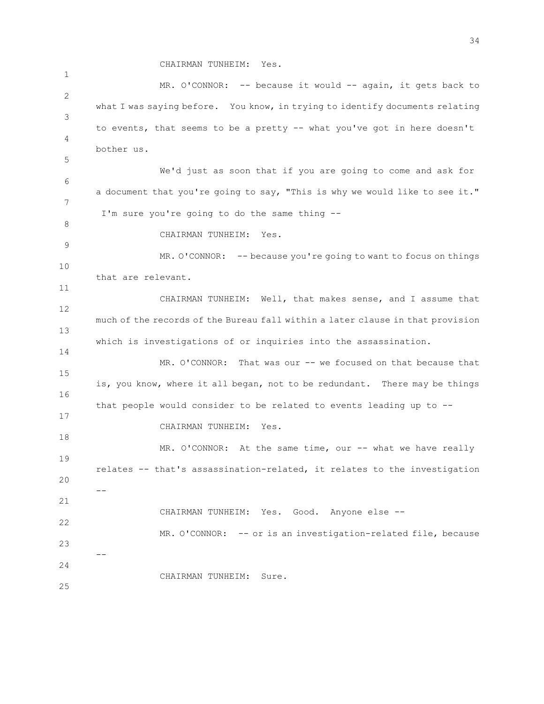CHAIRMAN TUNHEIM: Yes.

1 2 3 4 5 6 7 8 9 10 11 12 13 14 15 16 17 18 19 20 21 22 23 24 25 MR. O'CONNOR: -- because it would -- again, it gets back to what I was saying before. You know, in trying to identify documents relating to events, that seems to be a pretty -- what you've got in here doesn't bother us. We'd just as soon that if you are going to come and ask for a document that you're going to say, "This is why we would like to see it." I'm sure you're going to do the same thing -- CHAIRMAN TUNHEIM: Yes. MR. O'CONNOR: -- because you're going to want to focus on things that are relevant. CHAIRMAN TUNHEIM: Well, that makes sense, and I assume that much of the records of the Bureau fall within a later clause in that provision which is investigations of or inquiries into the assassination. MR. O'CONNOR: That was our -- we focused on that because that is, you know, where it all began, not to be redundant. There may be things that people would consider to be related to events leading up to -- CHAIRMAN TUNHEIM: Yes. MR. O'CONNOR: At the same time, our -- what we have really relates -- that's assassination-related, it relates to the investigation -- CHAIRMAN TUNHEIM: Yes. Good. Anyone else -- MR. O'CONNOR: -- or is an investigation-related file, because -- CHAIRMAN TUNHEIM: Sure.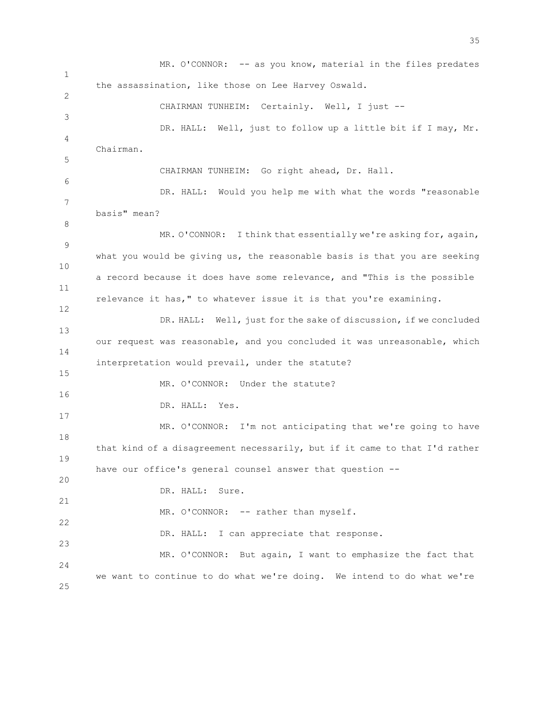1 2 3 4 5 6 7 8 9 10 11 12 13 14 15 16 17 18 19 20 21 22 23 24 25 MR. O'CONNOR: -- as you know, material in the files predates the assassination, like those on Lee Harvey Oswald. CHAIRMAN TUNHEIM: Certainly. Well, I just --DR. HALL: Well, just to follow up a little bit if I may, Mr. Chairman. CHAIRMAN TUNHEIM: Go right ahead, Dr. Hall. DR. HALL: Would you help me with what the words "reasonable basis" mean? MR. O'CONNOR: I think that essentially we're asking for, again, what you would be giving us, the reasonable basis is that you are seeking a record because it does have some relevance, and "This is the possible relevance it has," to whatever issue it is that you're examining. DR. HALL: Well, just for the sake of discussion, if we concluded our request was reasonable, and you concluded it was unreasonable, which interpretation would prevail, under the statute? MR. O'CONNOR: Under the statute? DR. HALL: Yes. MR. O'CONNOR: I'm not anticipating that we're going to have that kind of a disagreement necessarily, but if it came to that I'd rather have our office's general counsel answer that question -- DR. HALL: Sure. MR. O'CONNOR: -- rather than myself. DR. HALL: I can appreciate that response. MR. O'CONNOR: But again, I want to emphasize the fact that we want to continue to do what we're doing. We intend to do what we're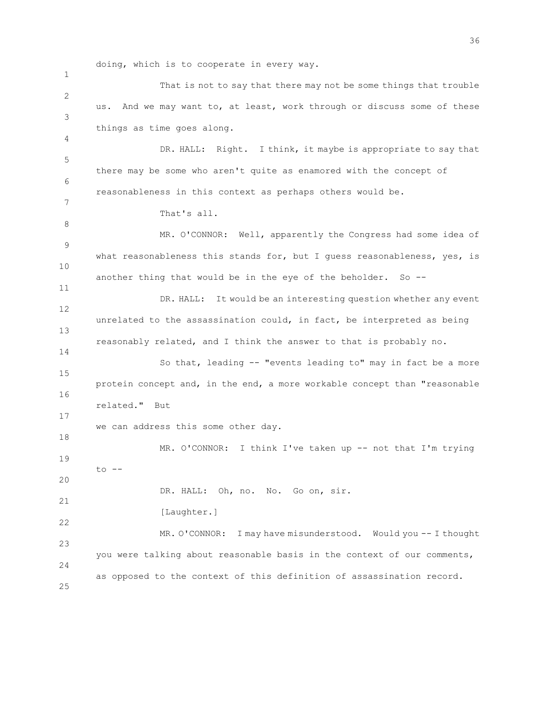doing, which is to cooperate in every way.

1 2 3 4 5 6 7 8 9 10 11 12 13 14 15 16 17 18 19 20 21 22 23 24 25 That is not to say that there may not be some things that trouble us. And we may want to, at least, work through or discuss some of these things as time goes along. DR. HALL: Right. I think, it maybe is appropriate to say that there may be some who aren't quite as enamored with the concept of reasonableness in this context as perhaps others would be. That's all. MR. O'CONNOR: Well, apparently the Congress had some idea of what reasonableness this stands for, but I guess reasonableness, yes, is another thing that would be in the eye of the beholder. So -- DR. HALL: It would be an interesting question whether any event unrelated to the assassination could, in fact, be interpreted as being reasonably related, and I think the answer to that is probably no. So that, leading -- "events leading to" may in fact be a more protein concept and, in the end, a more workable concept than "reasonable related." But we can address this some other day. MR. O'CONNOR: I think I've taken up -- not that I'm trying to -- DR. HALL: Oh, no. No. Go on, sir. [Laughter.] MR. O'CONNOR: I may have misunderstood. Would you -- I thought you were talking about reasonable basis in the context of our comments, as opposed to the context of this definition of assassination record.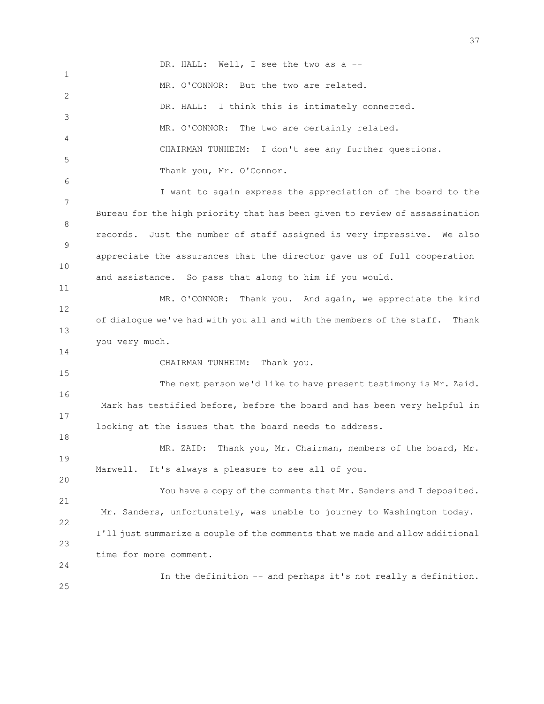1 2 3 4 5 6 7 8 9 10 11 12 13 14 15 16 17 18 19 20 21 22 23 24 25 DR. HALL: Well, I see the two as a --MR. O'CONNOR: But the two are related. DR. HALL: I think this is intimately connected. MR. O'CONNOR: The two are certainly related. CHAIRMAN TUNHEIM: I don't see any further questions. Thank you, Mr. O'Connor. I want to again express the appreciation of the board to the Bureau for the high priority that has been given to review of assassination records. Just the number of staff assigned is very impressive. We also appreciate the assurances that the director gave us of full cooperation and assistance. So pass that along to him if you would. MR. O'CONNOR: Thank you. And again, we appreciate the kind of dialogue we've had with you all and with the members of the staff. Thank you very much. CHAIRMAN TUNHEIM: Thank you. The next person we'd like to have present testimony is Mr. Zaid. Mark has testified before, before the board and has been very helpful in looking at the issues that the board needs to address. MR. ZAID: Thank you, Mr. Chairman, members of the board, Mr. Marwell. It's always a pleasure to see all of you. You have a copy of the comments that Mr. Sanders and I deposited. Mr. Sanders, unfortunately, was unable to journey to Washington today. I'll just summarize a couple of the comments that we made and allow additional time for more comment. In the definition -- and perhaps it's not really a definition.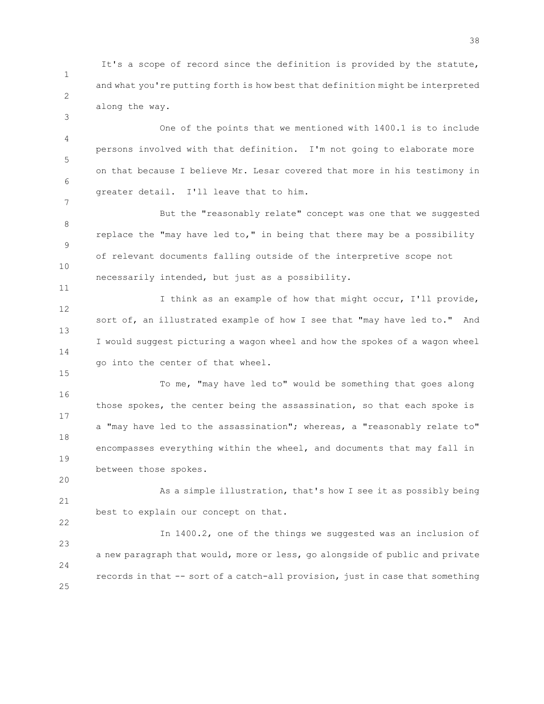1 2 It's a scope of record since the definition is provided by the statute, and what you're putting forth is how best that definition might be interpreted along the way.

3

7

11

15

20

4 5 6 One of the points that we mentioned with 1400.1 is to include persons involved with that definition. I'm not going to elaborate more on that because I believe Mr. Lesar covered that more in his testimony in greater detail. I'll leave that to him.

8 9 10 But the "reasonably relate" concept was one that we suggested replace the "may have led to," in being that there may be a possibility of relevant documents falling outside of the interpretive scope not necessarily intended, but just as a possibility.

12 13 14 I think as an example of how that might occur, I'll provide, sort of, an illustrated example of how I see that "may have led to." And I would suggest picturing a wagon wheel and how the spokes of a wagon wheel go into the center of that wheel.

16 17 18 19 To me, "may have led to" would be something that goes along those spokes, the center being the assassination, so that each spoke is a "may have led to the assassination"; whereas, a "reasonably relate to" encompasses everything within the wheel, and documents that may fall in between those spokes.

21 22 As a simple illustration, that's how I see it as possibly being best to explain our concept on that.

23 24 25 In 1400.2, one of the things we suggested was an inclusion of a new paragraph that would, more or less, go alongside of public and private records in that -- sort of a catch-all provision, just in case that something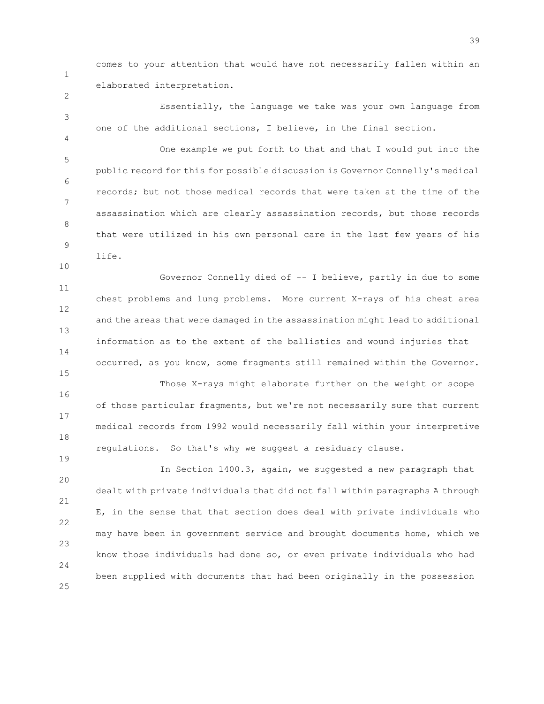1

2

3

4

10

15

19

comes to your attention that would have not necessarily fallen within an elaborated interpretation.

Essentially, the language we take was your own language from one of the additional sections, I believe, in the final section.

5 6 7 8 9 One example we put forth to that and that I would put into the public record for this for possible discussion is Governor Connelly's medical records; but not those medical records that were taken at the time of the assassination which are clearly assassination records, but those records that were utilized in his own personal care in the last few years of his life.

11 12 13 14 Governor Connelly died of -- I believe, partly in due to some chest problems and lung problems. More current X-rays of his chest area and the areas that were damaged in the assassination might lead to additional information as to the extent of the ballistics and wound injuries that occurred, as you know, some fragments still remained within the Governor.

16 17 18 Those X-rays might elaborate further on the weight or scope of those particular fragments, but we're not necessarily sure that current medical records from 1992 would necessarily fall within your interpretive regulations. So that's why we suggest a residuary clause.

 $20$ 21 22 23 24 25 In Section 1400.3, again, we suggested a new paragraph that dealt with private individuals that did not fall within paragraphs A through E, in the sense that that section does deal with private individuals who may have been in government service and brought documents home, which we know those individuals had done so, or even private individuals who had been supplied with documents that had been originally in the possession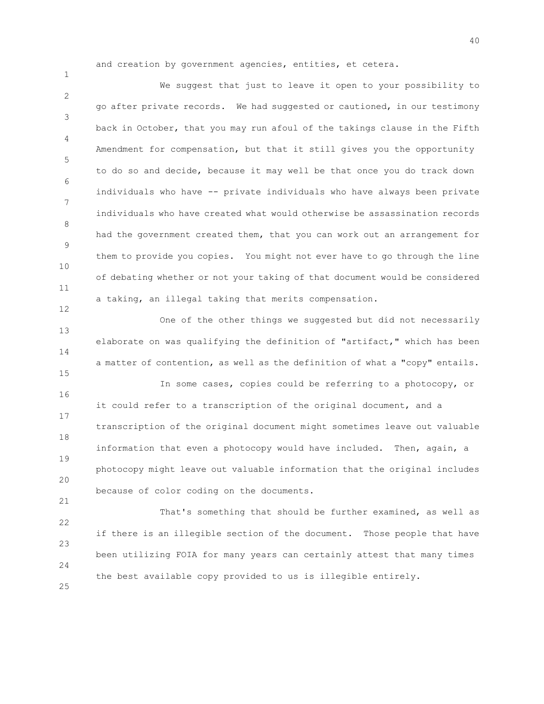and creation by government agencies, entities, et cetera.

2 3 4 5 6 7 8 9 10 11 We suggest that just to leave it open to your possibility to go after private records. We had suggested or cautioned, in our testimony back in October, that you may run afoul of the takings clause in the Fifth Amendment for compensation, but that it still gives you the opportunity to do so and decide, because it may well be that once you do track down individuals who have -- private individuals who have always been private individuals who have created what would otherwise be assassination records had the government created them, that you can work out an arrangement for them to provide you copies. You might not ever have to go through the line of debating whether or not your taking of that document would be considered a taking, an illegal taking that merits compensation.

13 14 15 One of the other things we suggested but did not necessarily elaborate on was qualifying the definition of "artifact," which has been a matter of contention, as well as the definition of what a "copy" entails.

16 17 18 19 20 In some cases, copies could be referring to a photocopy, or it could refer to a transcription of the original document, and a transcription of the original document might sometimes leave out valuable information that even a photocopy would have included. Then, again, a photocopy might leave out valuable information that the original includes because of color coding on the documents.

22 23 24 That's something that should be further examined, as well as if there is an illegible section of the document. Those people that have been utilizing FOIA for many years can certainly attest that many times the best available copy provided to us is illegible entirely.

25

21

1

12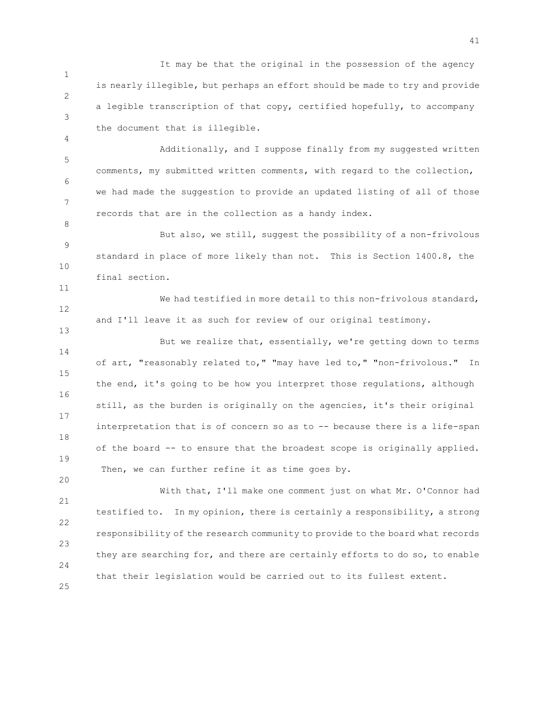1 2 3 It may be that the original in the possession of the agency is nearly illegible, but perhaps an effort should be made to try and provide a legible transcription of that copy, certified hopefully, to accompany the document that is illegible.

4

8

11

13

20

5 6 7 Additionally, and I suppose finally from my suggested written comments, my submitted written comments, with regard to the collection, we had made the suggestion to provide an updated listing of all of those records that are in the collection as a handy index.

9 10 But also, we still, suggest the possibility of a non-frivolous standard in place of more likely than not. This is Section 1400.8, the final section.

12 We had testified in more detail to this non-frivolous standard, and I'll leave it as such for review of our original testimony.

14 15 16 17 18 19 But we realize that, essentially, we're getting down to terms of art, "reasonably related to," "may have led to," "non-frivolous." In the end, it's going to be how you interpret those regulations, although still, as the burden is originally on the agencies, it's their original interpretation that is of concern so as to -- because there is a life-span of the board -- to ensure that the broadest scope is originally applied. Then, we can further refine it as time goes by.

21 22 23 24 25 With that, I'll make one comment just on what Mr. O'Connor had testified to. In my opinion, there is certainly a responsibility, a strong responsibility of the research community to provide to the board what records they are searching for, and there are certainly efforts to do so, to enable that their legislation would be carried out to its fullest extent.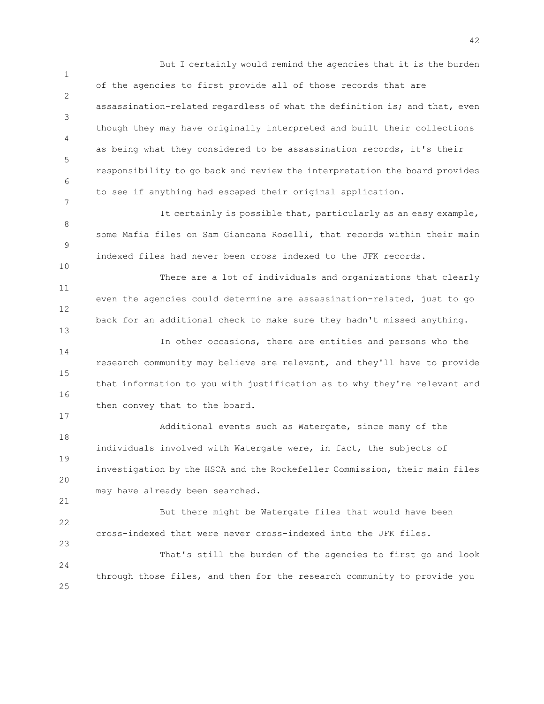1 2 3 4 5 6 7 But I certainly would remind the agencies that it is the burden of the agencies to first provide all of those records that are assassination-related regardless of what the definition is; and that, even though they may have originally interpreted and built their collections as being what they considered to be assassination records, it's their responsibility to go back and review the interpretation the board provides to see if anything had escaped their original application.

It certainly is possible that, particularly as an easy example, some Mafia files on Sam Giancana Roselli, that records within their main indexed files had never been cross indexed to the JFK records.

8

9

10

13

17

21

23

11 12 There are a lot of individuals and organizations that clearly even the agencies could determine are assassination-related, just to go back for an additional check to make sure they hadn't missed anything.

14 15 16 In other occasions, there are entities and persons who the research community may believe are relevant, and they'll have to provide that information to you with justification as to why they're relevant and then convey that to the board.

18 19 20 Additional events such as Watergate, since many of the individuals involved with Watergate were, in fact, the subjects of investigation by the HSCA and the Rockefeller Commission, their main files may have already been searched.

22 But there might be Watergate files that would have been cross-indexed that were never cross-indexed into the JFK files.

24 25 That's still the burden of the agencies to first go and look through those files, and then for the research community to provide you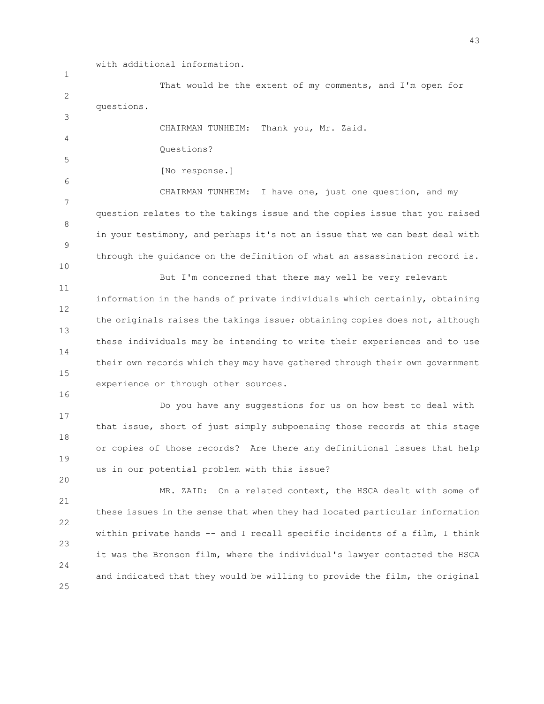with additional information.

1 2 3 4 5 6 7 8 9 10 11 12 13 14 15 16 17 18 19 20 21 22 23 24 25 That would be the extent of my comments, and I'm open for questions. CHAIRMAN TUNHEIM: Thank you, Mr. Zaid. Questions? [No response.] CHAIRMAN TUNHEIM: I have one, just one question, and my question relates to the takings issue and the copies issue that you raised in your testimony, and perhaps it's not an issue that we can best deal with through the guidance on the definition of what an assassination record is. But I'm concerned that there may well be very relevant information in the hands of private individuals which certainly, obtaining the originals raises the takings issue; obtaining copies does not, although these individuals may be intending to write their experiences and to use their own records which they may have gathered through their own government experience or through other sources. Do you have any suggestions for us on how best to deal with that issue, short of just simply subpoenaing those records at this stage or copies of those records? Are there any definitional issues that help us in our potential problem with this issue? MR. ZAID: On a related context, the HSCA dealt with some of these issues in the sense that when they had located particular information within private hands -- and I recall specific incidents of a film, I think it was the Bronson film, where the individual's lawyer contacted the HSCA and indicated that they would be willing to provide the film, the original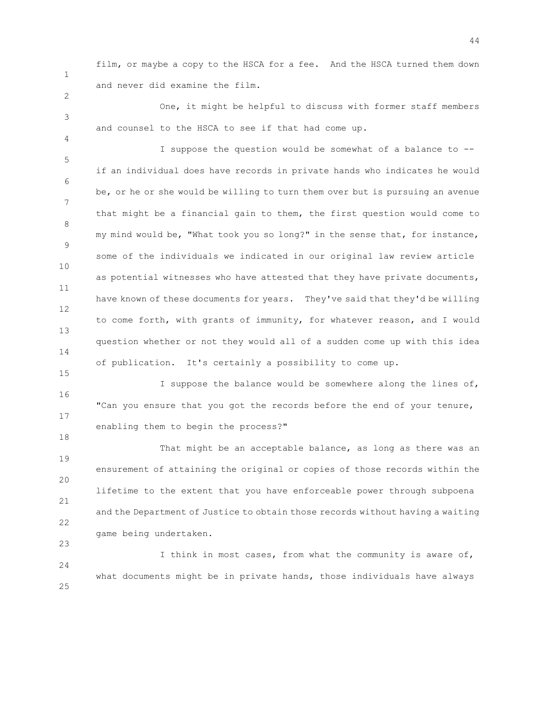1

2

3

4

15

18

23

film, or maybe a copy to the HSCA for a fee. And the HSCA turned them down and never did examine the film.

One, it might be helpful to discuss with former staff members and counsel to the HSCA to see if that had come up.

5 6 7 8 9 10 11 12 13 14 I suppose the question would be somewhat of a balance to - if an individual does have records in private hands who indicates he would be, or he or she would be willing to turn them over but is pursuing an avenue that might be a financial gain to them, the first question would come to my mind would be, "What took you so long?" in the sense that, for instance, some of the individuals we indicated in our original law review article as potential witnesses who have attested that they have private documents, have known of these documents for years. They've said that they'd be willing to come forth, with grants of immunity, for whatever reason, and I would question whether or not they would all of a sudden come up with this idea of publication. It's certainly a possibility to come up.

16 17 I suppose the balance would be somewhere along the lines of, "Can you ensure that you got the records before the end of your tenure, enabling them to begin the process?"

19 20 21 22 That might be an acceptable balance, as long as there was an ensurement of attaining the original or copies of those records within the lifetime to the extent that you have enforceable power through subpoena and the Department of Justice to obtain those records without having a waiting game being undertaken.

24 25 I think in most cases, from what the community is aware of, what documents might be in private hands, those individuals have always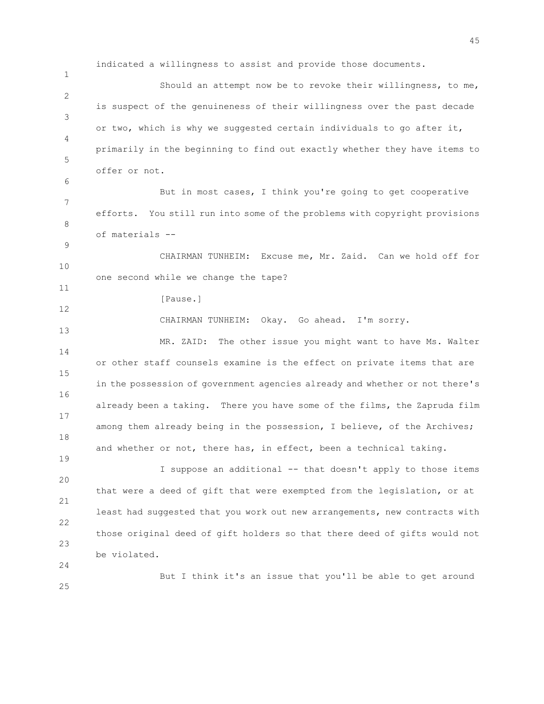indicated a willingness to assist and provide those documents.

2 3 4 5 Should an attempt now be to revoke their willingness, to me, is suspect of the genuineness of their willingness over the past decade or two, which is why we suggested certain individuals to go after it, primarily in the beginning to find out exactly whether they have items to offer or not.

7 8 But in most cases, I think you're going to get cooperative efforts. You still run into some of the problems with copyright provisions of materials --

10 CHAIRMAN TUNHEIM: Excuse me, Mr. Zaid. Can we hold off for one second while we change the tape?

[Pause.]

1

6

9

11

12

13

19

24

25

CHAIRMAN TUNHEIM: Okay. Go ahead. I'm sorry.

14 15 16 17 18 MR. ZAID: The other issue you might want to have Ms. Walter or other staff counsels examine is the effect on private items that are in the possession of government agencies already and whether or not there's already been a taking. There you have some of the films, the Zapruda film among them already being in the possession, I believe, of the Archives; and whether or not, there has, in effect, been a technical taking.

 $20$ 21 22 23 I suppose an additional -- that doesn't apply to those items that were a deed of gift that were exempted from the legislation, or at least had suggested that you work out new arrangements, new contracts with those original deed of gift holders so that there deed of gifts would not be violated.

But I think it's an issue that you'll be able to get around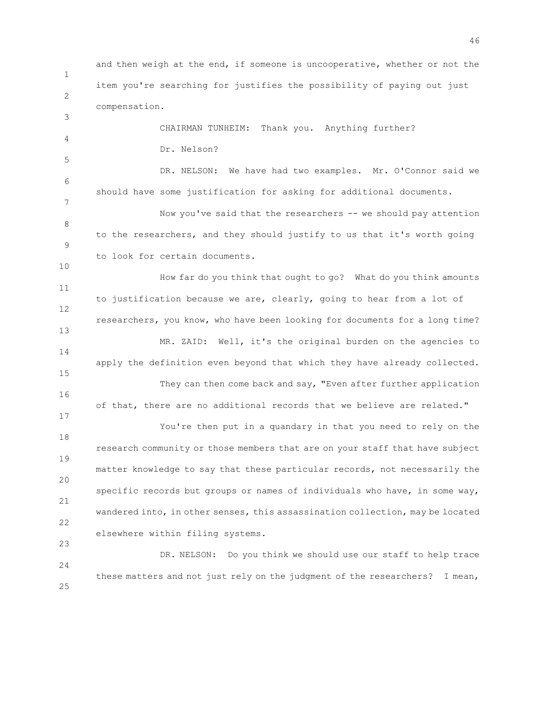1 2 3 4 5 6 7 8 9 10 11 12 13 14 15 16 17 18 19 20 21 22 23 24 and then weigh at the end, if someone is uncooperative, whether or not the item you're searching for justifies the possibility of paying out just compensation. CHAIRMAN TUNHEIM: Thank you. Anything further? Dr. Nelson? DR. NELSON: We have had two examples. Mr. O'Connor said we should have some justification for asking for additional documents. Now you've said that the researchers -- we should pay attention to the researchers, and they should justify to us that it's worth going to look for certain documents. How far do you think that ought to go? What do you think amounts to justification because we are, clearly, going to hear from a lot of researchers, you know, who have been looking for documents for a long time? MR. ZAID: Well, it's the original burden on the agencies to apply the definition even beyond that which they have already collected. They can then come back and say, "Even after further application of that, there are no additional records that we believe are related." You're then put in a quandary in that you need to rely on the research community or those members that are on your staff that have subject matter knowledge to say that these particular records, not necessarily the specific records but groups or names of individuals who have, in some way, wandered into, in other senses, this assassination collection, may be located elsewhere within filing systems. DR. NELSON: Do you think we should use our staff to help trace these matters and not just rely on the judgment of the researchers? I mean,

25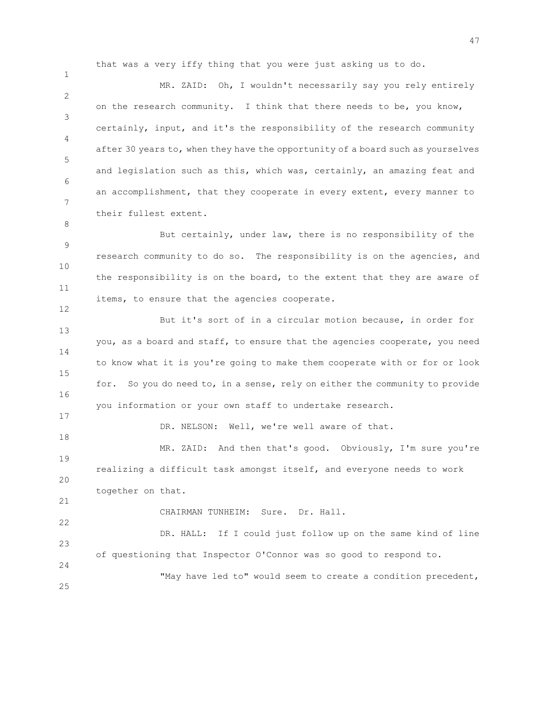that was a very iffy thing that you were just asking us to do.

2 3 4 5 6 7 MR. ZAID: Oh, I wouldn't necessarily say you rely entirely on the research community. I think that there needs to be, you know, certainly, input, and it's the responsibility of the research community after 30 years to, when they have the opportunity of a board such as yourselves and legislation such as this, which was, certainly, an amazing feat and an accomplishment, that they cooperate in every extent, every manner to their fullest extent.

9 10 11 But certainly, under law, there is no responsibility of the research community to do so. The responsibility is on the agencies, and the responsibility is on the board, to the extent that they are aware of items, to ensure that the agencies cooperate.

13 14 15 16 But it's sort of in a circular motion because, in order for you, as a board and staff, to ensure that the agencies cooperate, you need to know what it is you're going to make them cooperate with or for or look for. So you do need to, in a sense, rely on either the community to provide you information or your own staff to undertake research.

DR. NELSON: Well, we're well aware of that.

19 20 MR. ZAID: And then that's good. Obviously, I'm sure you're realizing a difficult task amongst itself, and everyone needs to work together on that.

CHAIRMAN TUNHEIM: Sure. Dr. Hall.

23 DR. HALL: If I could just follow up on the same kind of line of questioning that Inspector O'Connor was so good to respond to.

24 25

"May have led to" would seem to create a condition precedent,

1

8

12

17

18

21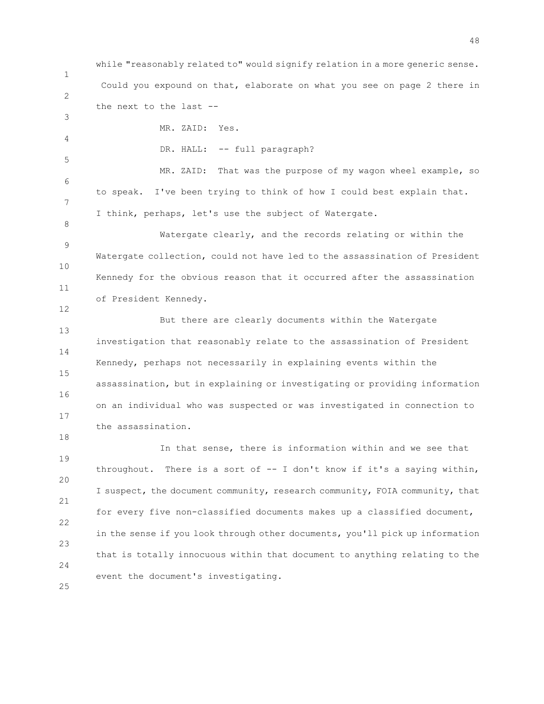1 2 while "reasonably related to" would signify relation in a more generic sense. Could you expound on that, elaborate on what you see on page 2 there in the next to the last --

4 MR. ZAID: Yes.

3

5

8

12

18

DR. HALL: -- full paragraph?

6 7 MR. ZAID: That was the purpose of my wagon wheel example, so to speak. I've been trying to think of how I could best explain that. I think, perhaps, let's use the subject of Watergate.

9 10 11 Watergate clearly, and the records relating or within the Watergate collection, could not have led to the assassination of President Kennedy for the obvious reason that it occurred after the assassination of President Kennedy.

13 14 15 16 17 But there are clearly documents within the Watergate investigation that reasonably relate to the assassination of President Kennedy, perhaps not necessarily in explaining events within the assassination, but in explaining or investigating or providing information on an individual who was suspected or was investigated in connection to the assassination.

19 20 21 22 23 24 In that sense, there is information within and we see that throughout. There is a sort of -- I don't know if it's a saying within, I suspect, the document community, research community, FOIA community, that for every five non-classified documents makes up a classified document, in the sense if you look through other documents, you'll pick up information that is totally innocuous within that document to anything relating to the event the document's investigating.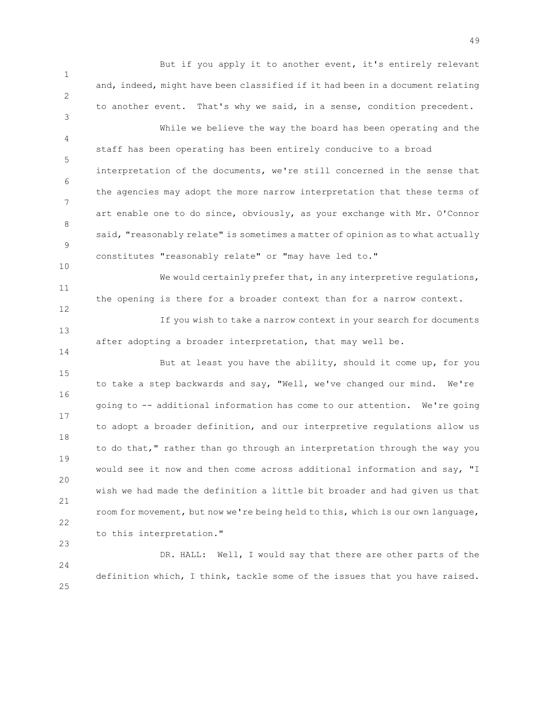But if you apply it to another event, it's entirely relevant and, indeed, might have been classified if it had been in a document relating to another event. That's why we said, in a sense, condition precedent.

1

2

3

10

12

14

23

4 5 6 7 8 9 While we believe the way the board has been operating and the staff has been operating has been entirely conducive to a broad interpretation of the documents, we're still concerned in the sense that the agencies may adopt the more narrow interpretation that these terms of art enable one to do since, obviously, as your exchange with Mr. O'Connor said, "reasonably relate" is sometimes a matter of opinion as to what actually constitutes "reasonably relate" or "may have led to."

11 We would certainly prefer that, in any interpretive regulations, the opening is there for a broader context than for a narrow context.

13 If you wish to take a narrow context in your search for documents after adopting a broader interpretation, that may well be.

15 16 17 18 19 20 21 22 But at least you have the ability, should it come up, for you to take a step backwards and say, "Well, we've changed our mind. We're going to -- additional information has come to our attention. We're going to adopt a broader definition, and our interpretive regulations allow us to do that," rather than go through an interpretation through the way you would see it now and then come across additional information and say, "I wish we had made the definition a little bit broader and had given us that room for movement, but now we're being held to this, which is our own language, to this interpretation."

24 25 DR. HALL: Well, I would say that there are other parts of the definition which, I think, tackle some of the issues that you have raised.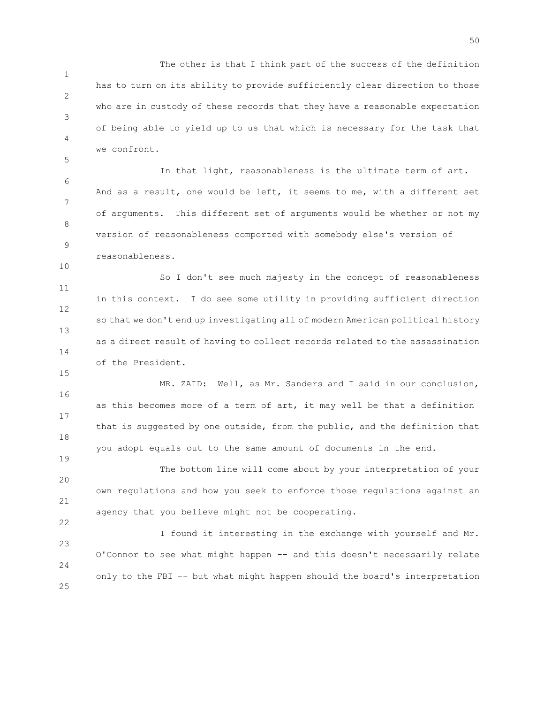1 2 3 4 The other is that I think part of the success of the definition has to turn on its ability to provide sufficiently clear direction to those who are in custody of these records that they have a reasonable expectation of being able to yield up to us that which is necessary for the task that we confront.

6 7 8 9 In that light, reasonableness is the ultimate term of art. And as a result, one would be left, it seems to me, with a different set of arguments. This different set of arguments would be whether or not my version of reasonableness comported with somebody else's version of reasonableness.

5

10

15

19

22

11 12 13 14 So I don't see much majesty in the concept of reasonableness in this context. I do see some utility in providing sufficient direction so that we don't end up investigating all of modern American political history as a direct result of having to collect records related to the assassination of the President.

16 17 18 MR. ZAID: Well, as Mr. Sanders and I said in our conclusion, as this becomes more of a term of art, it may well be that a definition that is suggested by one outside, from the public, and the definition that you adopt equals out to the same amount of documents in the end.

20 21 The bottom line will come about by your interpretation of your own regulations and how you seek to enforce those regulations against an agency that you believe might not be cooperating.

23 24 25 I found it interesting in the exchange with yourself and Mr. O'Connor to see what might happen -- and this doesn't necessarily relate only to the FBI -- but what might happen should the board's interpretation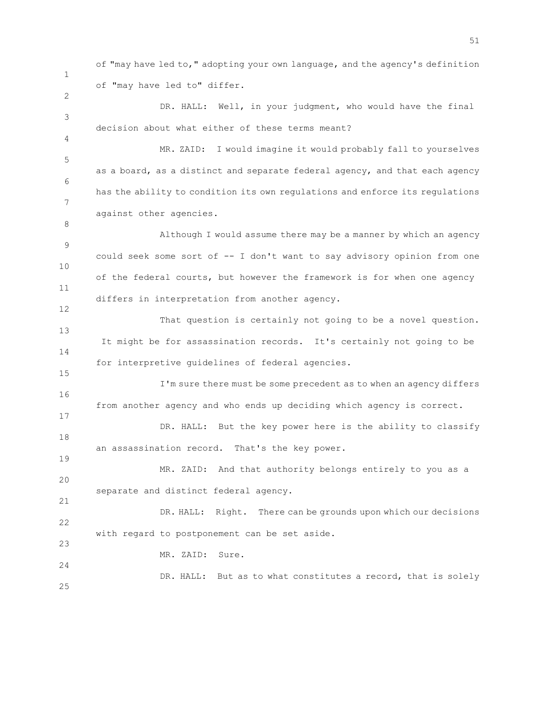of "may have led to," adopting your own language, and the agency's definition of "may have led to" differ.

3 DR. HALL: Well, in your judgment, who would have the final decision about what either of these terms meant?

5 6 7 MR. ZAID: I would imagine it would probably fall to yourselves as a board, as a distinct and separate federal agency, and that each agency has the ability to condition its own regulations and enforce its regulations against other agencies.

9 10 11 12 Although I would assume there may be a manner by which an agency could seek some sort of -- I don't want to say advisory opinion from one of the federal courts, but however the framework is for when one agency differs in interpretation from another agency.

13 14 That question is certainly not going to be a novel question. It might be for assassination records. It's certainly not going to be for interpretive guidelines of federal agencies.

16 17 I'm sure there must be some precedent as to when an agency differs from another agency and who ends up deciding which agency is correct.

18 DR. HALL: But the key power here is the ability to classify an assassination record. That's the key power.

20 MR. ZAID: And that authority belongs entirely to you as a separate and distinct federal agency.

22 23 DR. HALL: Right. There can be grounds upon which our decisions with regard to postponement can be set aside.

MR. ZAID: Sure.

1

2

4

8

15

19

21

24

25 DR. HALL: But as to what constitutes a record, that is solely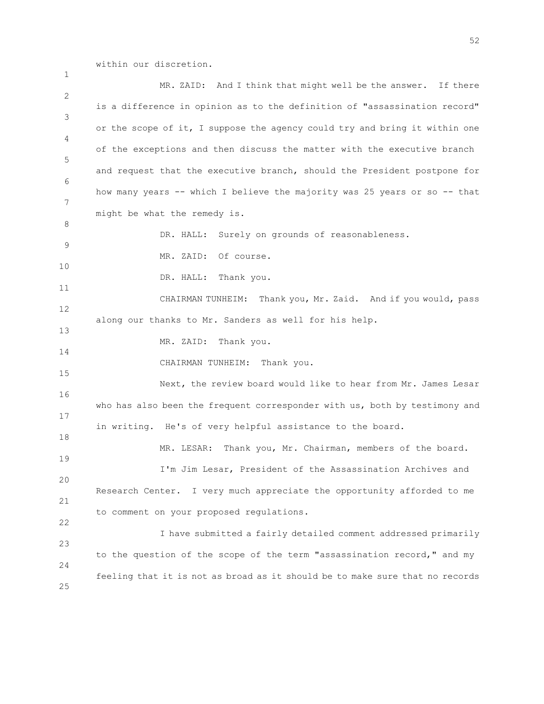within our discretion.

1

2 3 4 5 6 7 8 9 10 11 12 13 14 15 16 17 18 19 20 21 22 23 24 25 MR. ZAID: And I think that might well be the answer. If there is a difference in opinion as to the definition of "assassination record" or the scope of it, I suppose the agency could try and bring it within one of the exceptions and then discuss the matter with the executive branch and request that the executive branch, should the President postpone for how many years -- which I believe the majority was 25 years or so -- that might be what the remedy is. DR. HALL: Surely on grounds of reasonableness. MR. ZAID: Of course. DR. HALL: Thank you. CHAIRMAN TUNHEIM: Thank you, Mr. Zaid. And if you would, pass along our thanks to Mr. Sanders as well for his help. MR. ZAID: Thank you. CHAIRMAN TUNHEIM: Thank you. Next, the review board would like to hear from Mr. James Lesar who has also been the frequent corresponder with us, both by testimony and in writing. He's of very helpful assistance to the board. MR. LESAR: Thank you, Mr. Chairman, members of the board. I'm Jim Lesar, President of the Assassination Archives and Research Center. I very much appreciate the opportunity afforded to me to comment on your proposed regulations. I have submitted a fairly detailed comment addressed primarily to the question of the scope of the term "assassination record," and my feeling that it is not as broad as it should be to make sure that no records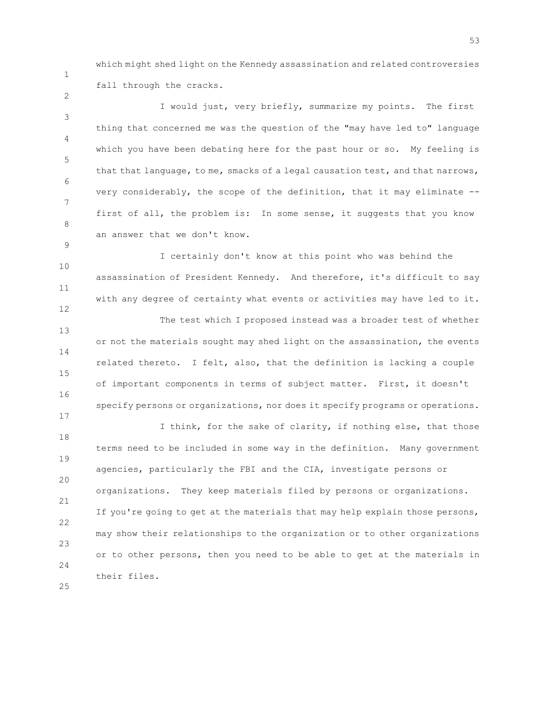1 2

9

12

17

which might shed light on the Kennedy assassination and related controversies fall through the cracks.

3 4 5 6 7 8 I would just, very briefly, summarize my points. The first thing that concerned me was the question of the "may have led to" language which you have been debating here for the past hour or so. My feeling is that that language, to me, smacks of a legal causation test, and that narrows, very considerably, the scope of the definition, that it may eliminate - first of all, the problem is: In some sense, it suggests that you know an answer that we don't know.

10 11 I certainly don't know at this point who was behind the assassination of President Kennedy. And therefore, it's difficult to say with any degree of certainty what events or activities may have led to it.

13 14 15 16 The test which I proposed instead was a broader test of whether or not the materials sought may shed light on the assassination, the events related thereto. I felt, also, that the definition is lacking a couple of important components in terms of subject matter. First, it doesn't specify persons or organizations, nor does it specify programs or operations.

18 19 20 21 22 23 24 I think, for the sake of clarity, if nothing else, that those terms need to be included in some way in the definition. Many government agencies, particularly the FBI and the CIA, investigate persons or organizations. They keep materials filed by persons or organizations. If you're going to get at the materials that may help explain those persons, may show their relationships to the organization or to other organizations or to other persons, then you need to be able to get at the materials in their files.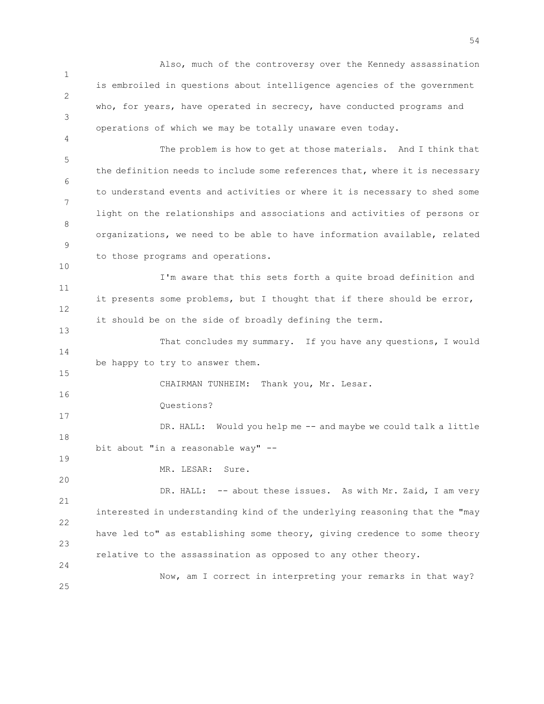1 2 3 4 5 6 7 8 9 10 11 12 13 14 15 16 17 18 19 20 21 22 23 24 25 Also, much of the controversy over the Kennedy assassination is embroiled in questions about intelligence agencies of the government who, for years, have operated in secrecy, have conducted programs and operations of which we may be totally unaware even today. The problem is how to get at those materials. And I think that the definition needs to include some references that, where it is necessary to understand events and activities or where it is necessary to shed some light on the relationships and associations and activities of persons or organizations, we need to be able to have information available, related to those programs and operations. I'm aware that this sets forth a quite broad definition and it presents some problems, but I thought that if there should be error, it should be on the side of broadly defining the term. That concludes my summary. If you have any questions, I would be happy to try to answer them. CHAIRMAN TUNHEIM: Thank you, Mr. Lesar. Questions? DR. HALL: Would you help me -- and maybe we could talk a little bit about "in a reasonable way" -- MR. LESAR: Sure. DR. HALL: -- about these issues. As with Mr. Zaid, I am very interested in understanding kind of the underlying reasoning that the "may have led to" as establishing some theory, giving credence to some theory relative to the assassination as opposed to any other theory. Now, am I correct in interpreting your remarks in that way?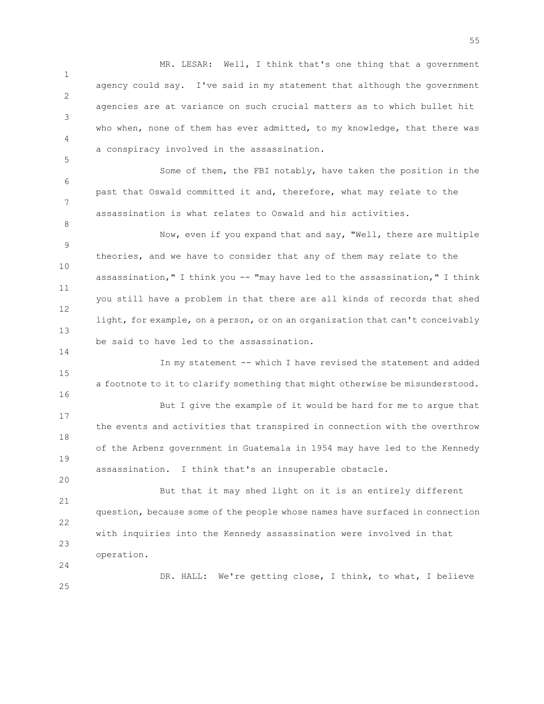1 2 3 4 MR. LESAR: Well, I think that's one thing that a government agency could say. I've said in my statement that although the government agencies are at variance on such crucial matters as to which bullet hit who when, none of them has ever admitted, to my knowledge, that there was a conspiracy involved in the assassination.

6 Some of them, the FBI notably, have taken the position in the past that Oswald committed it and, therefore, what may relate to the assassination is what relates to Oswald and his activities.

5

7

8

14

20

25

9 10 11 12 13 Now, even if you expand that and say, "Well, there are multiple theories, and we have to consider that any of them may relate to the assassination," I think you -- "may have led to the assassination," I think you still have a problem in that there are all kinds of records that shed light, for example, on a person, or on an organization that can't conceivably be said to have led to the assassination.

15 16 17 18 19 In my statement -- which I have revised the statement and added a footnote to it to clarify something that might otherwise be misunderstood. But I give the example of it would be hard for me to argue that the events and activities that transpired in connection with the overthrow of the Arbenz government in Guatemala in 1954 may have led to the Kennedy assassination. I think that's an insuperable obstacle.

21 22 23 24 But that it may shed light on it is an entirely different question, because some of the people whose names have surfaced in connection with inquiries into the Kennedy assassination were involved in that operation.

DR. HALL: We're getting close, I think, to what, I believe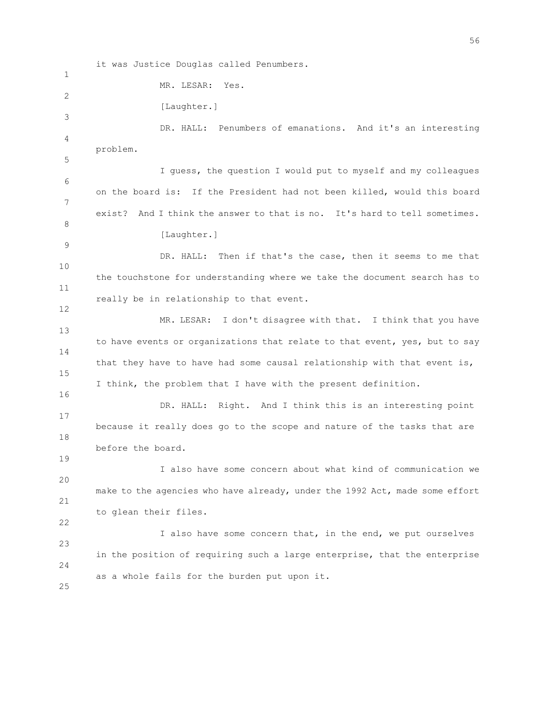1 2 3 4 5 6 7 8 9 10 11 12 13 14 15 16 17 18 19 20 21 22 23 24 25 MR. LESAR: Yes. [Laughter.] DR. HALL: Penumbers of emanations. And it's an interesting problem. I guess, the question I would put to myself and my colleagues on the board is: If the President had not been killed, would this board exist? And I think the answer to that is no. It's hard to tell sometimes. [Laughter.] DR. HALL: Then if that's the case, then it seems to me that the touchstone for understanding where we take the document search has to really be in relationship to that event. MR. LESAR: I don't disagree with that. I think that you have to have events or organizations that relate to that event, yes, but to say that they have to have had some causal relationship with that event is, I think, the problem that I have with the present definition. DR. HALL: Right. And I think this is an interesting point because it really does go to the scope and nature of the tasks that are before the board. I also have some concern about what kind of communication we make to the agencies who have already, under the 1992 Act, made some effort to glean their files. I also have some concern that, in the end, we put ourselves in the position of requiring such a large enterprise, that the enterprise as a whole fails for the burden put upon it.

it was Justice Douglas called Penumbers.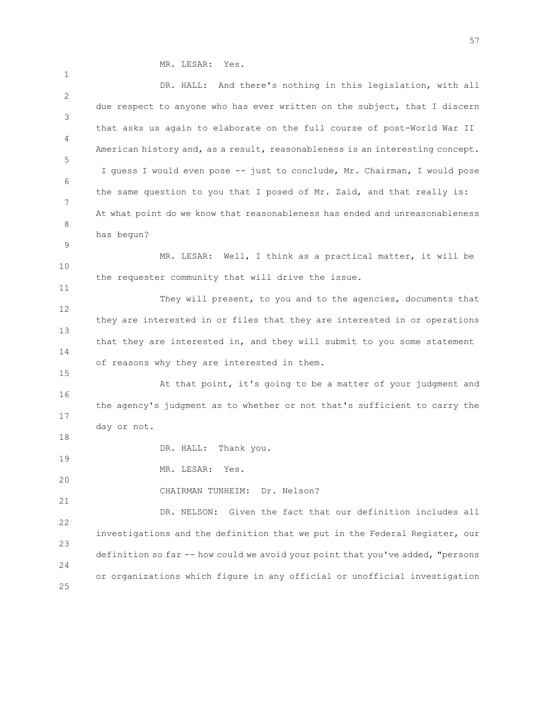MR. LESAR: Yes.

1 2 3 4 5 6 7 8 9 10 11 12 13 14 15 16 17 18 19 20 21 22 23 24 25 DR. HALL: And there's nothing in this legislation, with all due respect to anyone who has ever written on the subject, that I discern that asks us again to elaborate on the full course of post-World War II American history and, as a result, reasonableness is an interesting concept. I guess I would even pose -- just to conclude, Mr. Chairman, I would pose the same question to you that I posed of Mr. Zaid, and that really is: At what point do we know that reasonableness has ended and unreasonableness has begun? MR. LESAR: Well, I think as a practical matter, it will be the requester community that will drive the issue. They will present, to you and to the agencies, documents that they are interested in or files that they are interested in or operations that they are interested in, and they will submit to you some statement of reasons why they are interested in them. At that point, it's going to be a matter of your judgment and the agency's judgment as to whether or not that's sufficient to carry the day or not. DR. HALL: Thank you. MR. LESAR: Yes. CHAIRMAN TUNHEIM: Dr. Nelson? DR. NELSON: Given the fact that our definition includes all investigations and the definition that we put in the Federal Register, our definition so far -- how could we avoid your point that you've added, "persons or organizations which figure in any official or unofficial investigation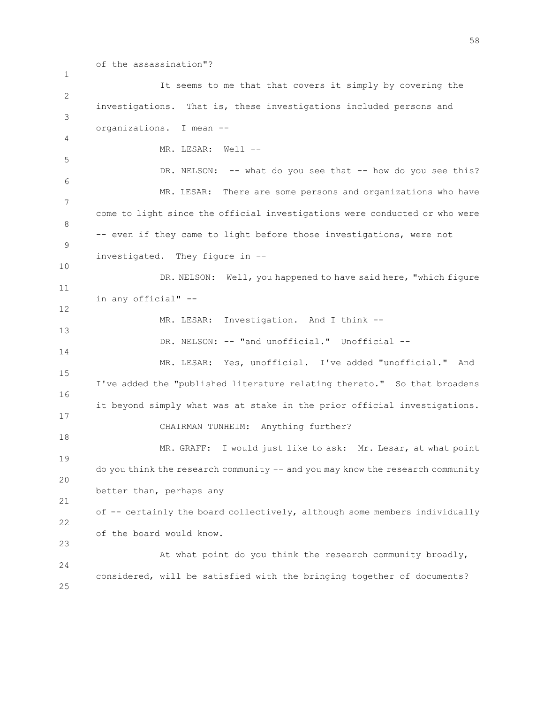1 2 3 4 5 6 7 8 9 10 11 12 13 14 15 16 17 18 19 20 21 22 23 24 25 of the assassination"? It seems to me that that covers it simply by covering the investigations. That is, these investigations included persons and organizations. I mean -- MR. LESAR: Well --DR. NELSON: -- what do you see that -- how do you see this? MR. LESAR: There are some persons and organizations who have come to light since the official investigations were conducted or who were -- even if they came to light before those investigations, were not investigated. They figure in -- DR. NELSON: Well, you happened to have said here, "which figure in any official" -- MR. LESAR: Investigation. And I think --DR. NELSON: -- "and unofficial." Unofficial --MR. LESAR: Yes, unofficial. I've added "unofficial." And I've added the "published literature relating thereto." So that broadens it beyond simply what was at stake in the prior official investigations. CHAIRMAN TUNHEIM: Anything further? MR. GRAFF: I would just like to ask: Mr. Lesar, at what point do you think the research community -- and you may know the research community better than, perhaps any of -- certainly the board collectively, although some members individually of the board would know. At what point do you think the research community broadly, considered, will be satisfied with the bringing together of documents?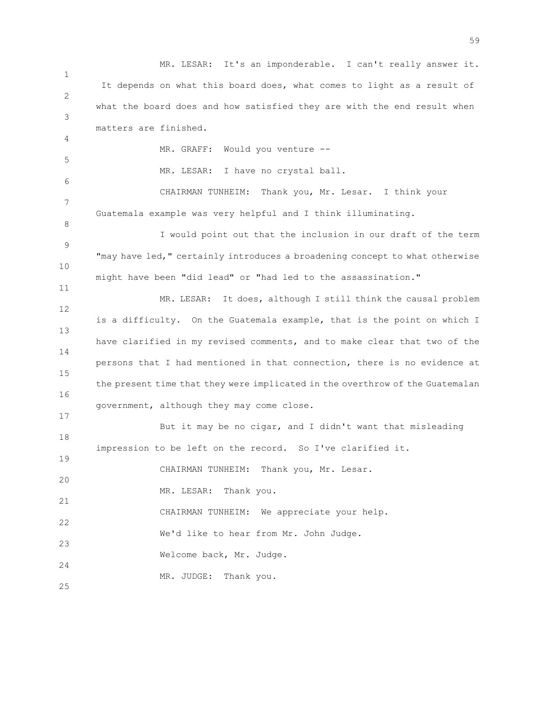1 2 3 4 5 6 7 8 9 10 11 12 13 14 15 16 17 18 19 20 21 22 23 24 25 MR. LESAR: It's an imponderable. I can't really answer it. It depends on what this board does, what comes to light as a result of what the board does and how satisfied they are with the end result when matters are finished. MR. GRAFF: Would you venture -- MR. LESAR: I have no crystal ball. CHAIRMAN TUNHEIM: Thank you, Mr. Lesar. I think your Guatemala example was very helpful and I think illuminating. I would point out that the inclusion in our draft of the term "may have led," certainly introduces a broadening concept to what otherwise might have been "did lead" or "had led to the assassination." MR. LESAR: It does, although I still think the causal problem is a difficulty. On the Guatemala example, that is the point on which I have clarified in my revised comments, and to make clear that two of the persons that I had mentioned in that connection, there is no evidence at the present time that they were implicated in the overthrow of the Guatemalan government, although they may come close. But it may be no cigar, and I didn't want that misleading impression to be left on the record. So I've clarified it. CHAIRMAN TUNHEIM: Thank you, Mr. Lesar. MR. LESAR: Thank you. CHAIRMAN TUNHEIM: We appreciate your help. We'd like to hear from Mr. John Judge. Welcome back, Mr. Judge. MR. JUDGE: Thank you.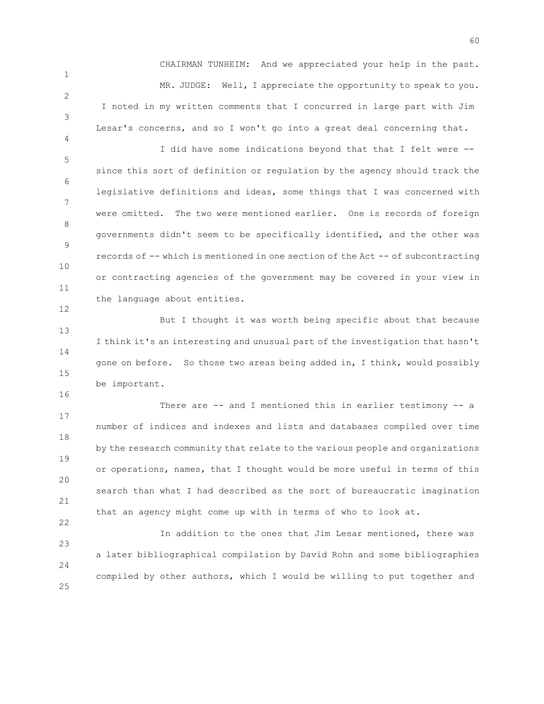CHAIRMAN TUNHEIM: And we appreciated your help in the past. MR. JUDGE: Well, I appreciate the opportunity to speak to you. I noted in my written comments that I concurred in large part with Jim Lesar's concerns, and so I won't go into a great deal concerning that.

1

2

3

4

12

16

22

5 6 7 8 9 10 11 I did have some indications beyond that that I felt were - since this sort of definition or regulation by the agency should track the legislative definitions and ideas, some things that I was concerned with were omitted. The two were mentioned earlier. One is records of foreign governments didn't seem to be specifically identified, and the other was records of -- which is mentioned in one section of the Act -- of subcontracting or contracting agencies of the government may be covered in your view in the language about entities.

13 14 15 But I thought it was worth being specific about that because I think it's an interesting and unusual part of the investigation that hasn't gone on before. So those two areas being added in, I think, would possibly be important.

17 18 19 20 21 There are -- and I mentioned this in earlier testimony -- a number of indices and indexes and lists and databases compiled over time by the research community that relate to the various people and organizations or operations, names, that I thought would be more useful in terms of this search than what I had described as the sort of bureaucratic imagination that an agency might come up with in terms of who to look at.

23 24 25 In addition to the ones that Jim Lesar mentioned, there was a later bibliographical compilation by David Rohn and some bibliographies compiled by other authors, which I would be willing to put together and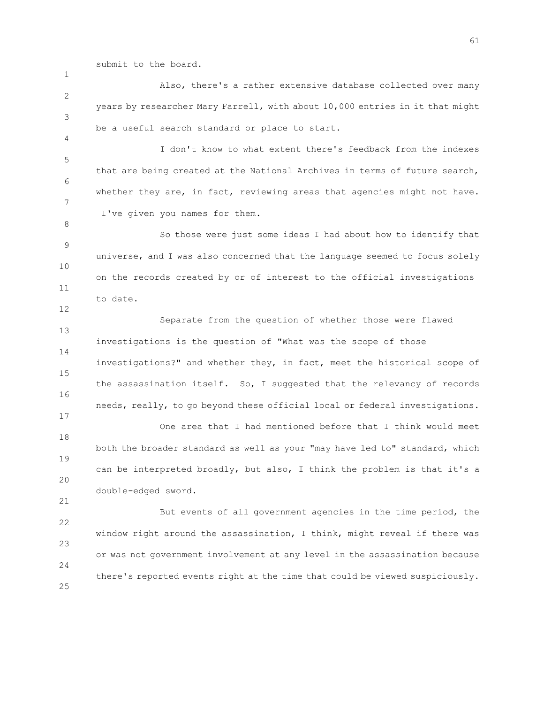submit to the board.

1

4

8

12

17

21

2 3 Also, there's a rather extensive database collected over many years by researcher Mary Farrell, with about 10,000 entries in it that might be a useful search standard or place to start.

5 6 7 I don't know to what extent there's feedback from the indexes that are being created at the National Archives in terms of future search, whether they are, in fact, reviewing areas that agencies might not have. I've given you names for them.

9 10 11 So those were just some ideas I had about how to identify that universe, and I was also concerned that the language seemed to focus solely on the records created by or of interest to the official investigations to date.

13 14 15 16 Separate from the question of whether those were flawed investigations is the question of "What was the scope of those investigations?" and whether they, in fact, meet the historical scope of the assassination itself. So, I suggested that the relevancy of records needs, really, to go beyond these official local or federal investigations.

18 19 20 One area that I had mentioned before that I think would meet both the broader standard as well as your "may have led to" standard, which can be interpreted broadly, but also, I think the problem is that it's a double-edged sword.

22 23 24 25 But events of all government agencies in the time period, the window right around the assassination, I think, might reveal if there was or was not government involvement at any level in the assassination because there's reported events right at the time that could be viewed suspiciously.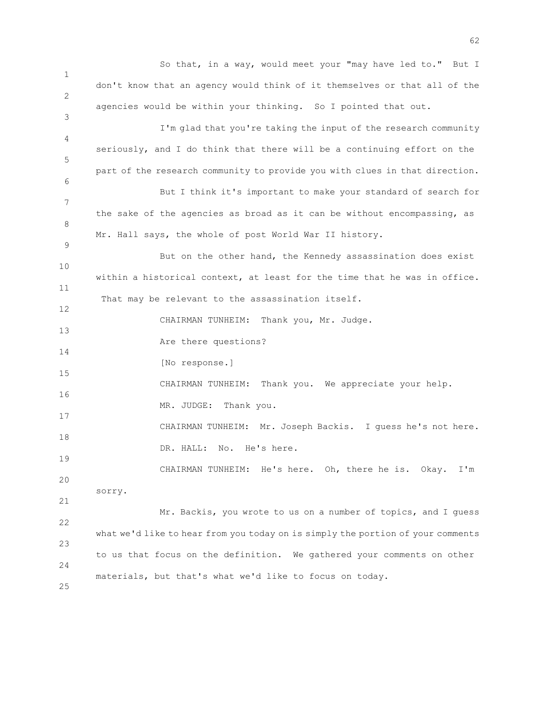1 2 3 4 5 6 7 8 9 10 11 12 13 14 15 16 17 18 19 20 21 22 23 24 25 So that, in a way, would meet your "may have led to." But I don't know that an agency would think of it themselves or that all of the agencies would be within your thinking. So I pointed that out. I'm glad that you're taking the input of the research community seriously, and I do think that there will be a continuing effort on the part of the research community to provide you with clues in that direction. But I think it's important to make your standard of search for the sake of the agencies as broad as it can be without encompassing, as Mr. Hall says, the whole of post World War II history. But on the other hand, the Kennedy assassination does exist within a historical context, at least for the time that he was in office. That may be relevant to the assassination itself. CHAIRMAN TUNHEIM: Thank you, Mr. Judge. Are there questions? [No response.] CHAIRMAN TUNHEIM: Thank you. We appreciate your help. MR. JUDGE: Thank you. CHAIRMAN TUNHEIM: Mr. Joseph Backis. I guess he's not here. DR. HALL: No. He's here. CHAIRMAN TUNHEIM: He's here. Oh, there he is. Okay. I'm sorry. Mr. Backis, you wrote to us on a number of topics, and I guess what we'd like to hear from you today on is simply the portion of your comments to us that focus on the definition. We gathered your comments on other materials, but that's what we'd like to focus on today.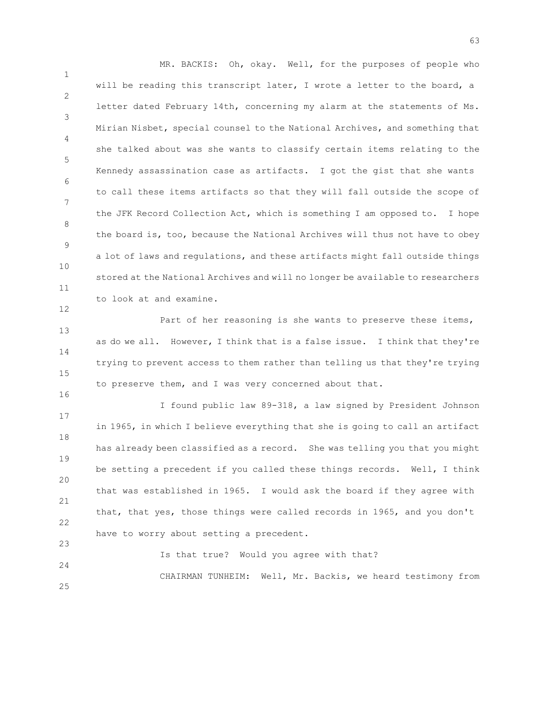1 2 3 4 5 6 7 8 9 10 11 MR. BACKIS: Oh, okay. Well, for the purposes of people who will be reading this transcript later, I wrote a letter to the board, a letter dated February 14th, concerning my alarm at the statements of Ms. Mirian Nisbet, special counsel to the National Archives, and something that she talked about was she wants to classify certain items relating to the Kennedy assassination case as artifacts. I got the gist that she wants to call these items artifacts so that they will fall outside the scope of the JFK Record Collection Act, which is something I am opposed to. I hope the board is, too, because the National Archives will thus not have to obey a lot of laws and regulations, and these artifacts might fall outside things stored at the National Archives and will no longer be available to researchers to look at and examine.

13 14 15 Part of her reasoning is she wants to preserve these items, as do we all. However, I think that is a false issue. I think that they're trying to prevent access to them rather than telling us that they're trying to preserve them, and I was very concerned about that.

12

16

17 18 19 20 21 22 23 I found public law 89-318, a law signed by President Johnson in 1965, in which I believe everything that she is going to call an artifact has already been classified as a record. She was telling you that you might be setting a precedent if you called these things records. Well, I think that was established in 1965. I would ask the board if they agree with that, that yes, those things were called records in 1965, and you don't have to worry about setting a precedent.

24 25 Is that true? Would you agree with that? CHAIRMAN TUNHEIM: Well, Mr. Backis, we heard testimony from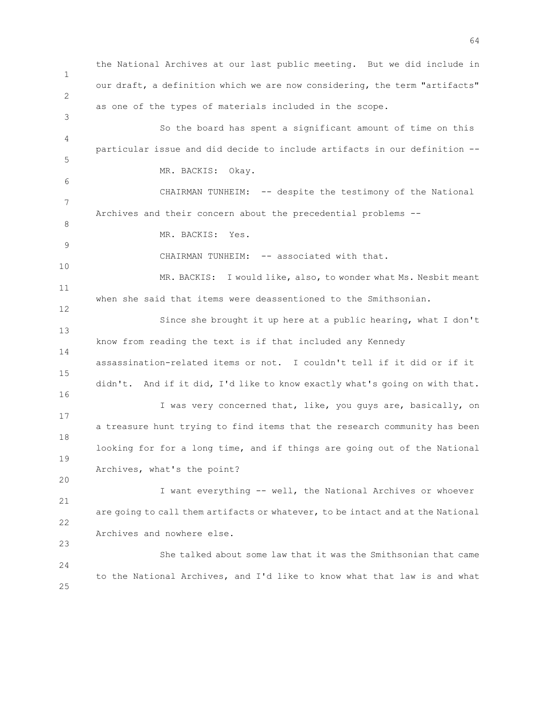1 2 3 4 5 6 7 8 9 10 11 12 13 14 15 16 17 18 19 20 21 22 23 24 25 the National Archives at our last public meeting. But we did include in our draft, a definition which we are now considering, the term "artifacts" as one of the types of materials included in the scope. So the board has spent a significant amount of time on this particular issue and did decide to include artifacts in our definition -- MR. BACKIS: Okay. CHAIRMAN TUNHEIM: -- despite the testimony of the National Archives and their concern about the precedential problems -- MR. BACKIS: Yes. CHAIRMAN TUNHEIM: -- associated with that. MR. BACKIS: I would like, also, to wonder what Ms. Nesbit meant when she said that items were deassentioned to the Smithsonian. Since she brought it up here at a public hearing, what I don't know from reading the text is if that included any Kennedy assassination-related items or not. I couldn't tell if it did or if it didn't. And if it did, I'd like to know exactly what's going on with that. I was very concerned that, like, you guys are, basically, on a treasure hunt trying to find items that the research community has been looking for for a long time, and if things are going out of the National Archives, what's the point? I want everything -- well, the National Archives or whoever are going to call them artifacts or whatever, to be intact and at the National Archives and nowhere else. She talked about some law that it was the Smithsonian that came to the National Archives, and I'd like to know what that law is and what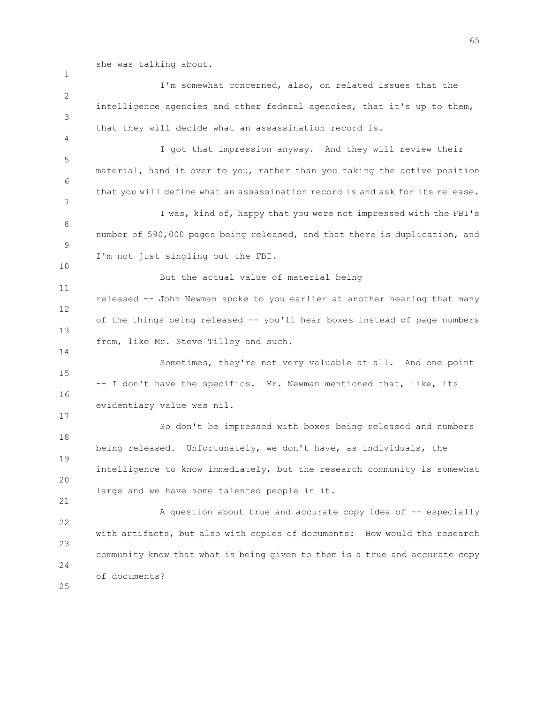she was talking about.

1

2 3 4 5 6 7 8 9 10 11 12 13 14 15 16 17 18 19 20 21 22 23 24 25 I'm somewhat concerned, also, on related issues that the intelligence agencies and other federal agencies, that it's up to them, that they will decide what an assassination record is. I got that impression anyway. And they will review their material, hand it over to you, rather than you taking the active position that you will define what an assassination record is and ask for its release. I was, kind of, happy that you were not impressed with the FBI's number of 590,000 pages being released, and that there is duplication, and I'm not just singling out the FBI. But the actual value of material being released -- John Newman spoke to you earlier at another hearing that many of the things being released -- you'll hear boxes instead of page numbers from, like Mr. Steve Tilley and such. Sometimes, they're not very valuable at all. And one point -- I don't have the specifics. Mr. Newman mentioned that, like, its evidentiary value was nil. So don't be impressed with boxes being released and numbers being released. Unfortunately, we don't have, as individuals, the intelligence to know immediately, but the research community is somewhat large and we have some talented people in it. A question about true and accurate copy idea of -- especially with artifacts, but also with copies of documents: How would the research community know that what is being given to them is a true and accurate copy of documents?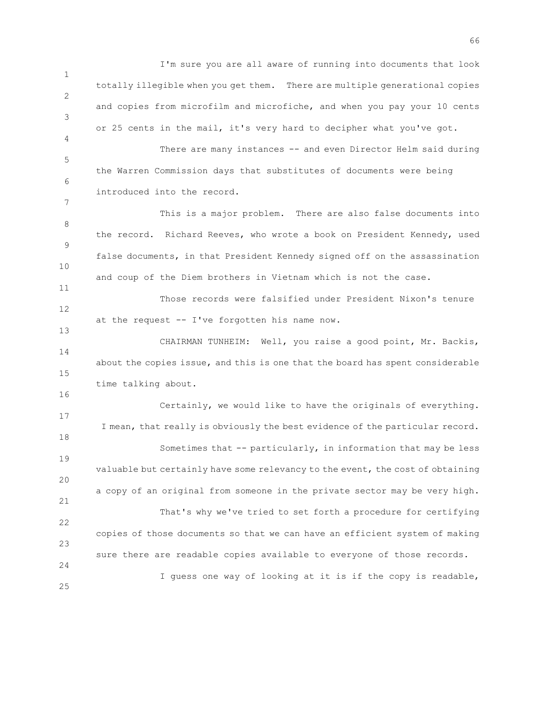1 2 3 4 I'm sure you are all aware of running into documents that look totally illegible when you get them. There are multiple generational copies and copies from microfilm and microfiche, and when you pay your 10 cents or 25 cents in the mail, it's very hard to decipher what you've got. There are many instances -- and even Director Helm said during

5 the Warren Commission days that substitutes of documents were being introduced into the record.

6

7

11

13

16

25

8 9 10 This is a major problem. There are also false documents into the record. Richard Reeves, who wrote a book on President Kennedy, used false documents, in that President Kennedy signed off on the assassination and coup of the Diem brothers in Vietnam which is not the case.

12 Those records were falsified under President Nixon's tenure at the request -- I've forgotten his name now.

14 15 CHAIRMAN TUNHEIM: Well, you raise a good point, Mr. Backis, about the copies issue, and this is one that the board has spent considerable time talking about.

17 18 19 20 21 22 23 24 Certainly, we would like to have the originals of everything. I mean, that really is obviously the best evidence of the particular record. Sometimes that -- particularly, in information that may be less valuable but certainly have some relevancy to the event, the cost of obtaining a copy of an original from someone in the private sector may be very high. That's why we've tried to set forth a procedure for certifying copies of those documents so that we can have an efficient system of making sure there are readable copies available to everyone of those records. I guess one way of looking at it is if the copy is readable,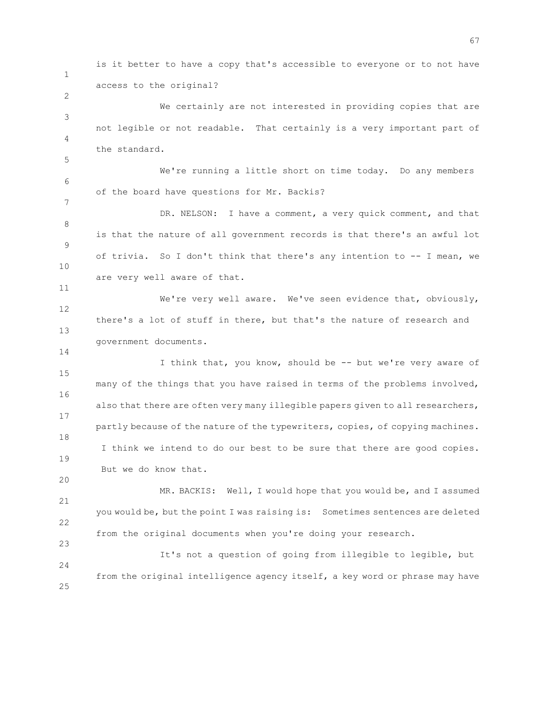1 is it better to have a copy that's accessible to everyone or to not have access to the original?

3 4 We certainly are not interested in providing copies that are not legible or not readable. That certainly is a very important part of the standard.

2

5

7

11

14

20

23

6 We're running a little short on time today. Do any members of the board have questions for Mr. Backis?

8 9 10 DR. NELSON: I have a comment, a very quick comment, and that is that the nature of all government records is that there's an awful lot of trivia. So I don't think that there's any intention to -- I mean, we are very well aware of that.

12 13 We're very well aware. We've seen evidence that, obviously, there's a lot of stuff in there, but that's the nature of research and government documents.

15 16 17 18 19 I think that, you know, should be -- but we're very aware of many of the things that you have raised in terms of the problems involved, also that there are often very many illegible papers given to all researchers, partly because of the nature of the typewriters, copies, of copying machines. I think we intend to do our best to be sure that there are good copies. But we do know that.

21 22 MR. BACKIS: Well, I would hope that you would be, and I assumed you would be, but the point I was raising is: Sometimes sentences are deleted from the original documents when you're doing your research.

 $24$ 25 It's not a question of going from illegible to legible, but from the original intelligence agency itself, a key word or phrase may have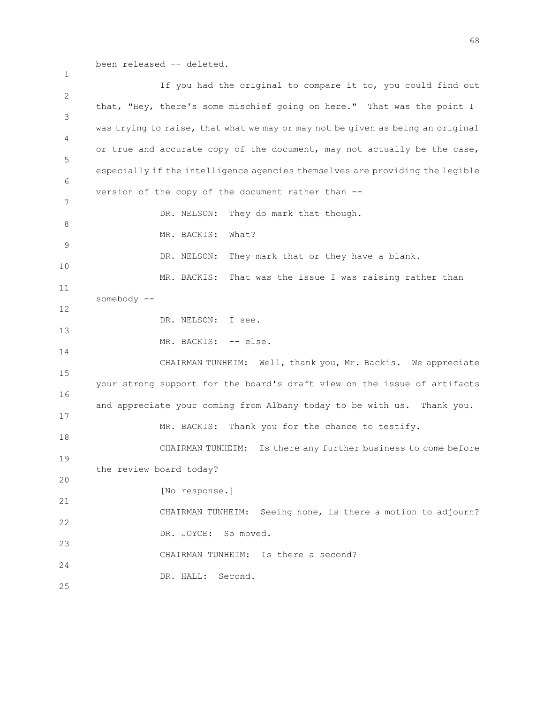been released -- deleted.

1

2 3 4 5 6 7 8 9 10 11 12 13 14 15 16 17 18 19 20 21 22 23 24 25 If you had the original to compare it to, you could find out that, "Hey, there's some mischief going on here." That was the point I was trying to raise, that what we may or may not be given as being an original or true and accurate copy of the document, may not actually be the case, especially if the intelligence agencies themselves are providing the legible version of the copy of the document rather than -- DR. NELSON: They do mark that though. MR. BACKIS: What? DR. NELSON: They mark that or they have a blank. MR. BACKIS: That was the issue I was raising rather than somebody -- DR. NELSON: I see. MR. BACKIS: -- else. CHAIRMAN TUNHEIM: Well, thank you, Mr. Backis. We appreciate your strong support for the board's draft view on the issue of artifacts and appreciate your coming from Albany today to be with us. Thank you. MR. BACKIS: Thank you for the chance to testify. CHAIRMAN TUNHEIM: Is there any further business to come before the review board today? [No response.] CHAIRMAN TUNHEIM: Seeing none, is there a motion to adjourn? DR. JOYCE: So moved. CHAIRMAN TUNHEIM: Is there a second? DR. HALL: Second.